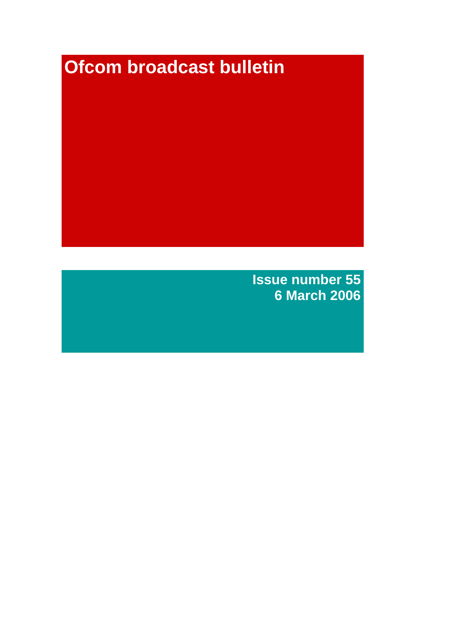# **Ofcom broadcast bulletin**

**Issue number 55 6 March 2006**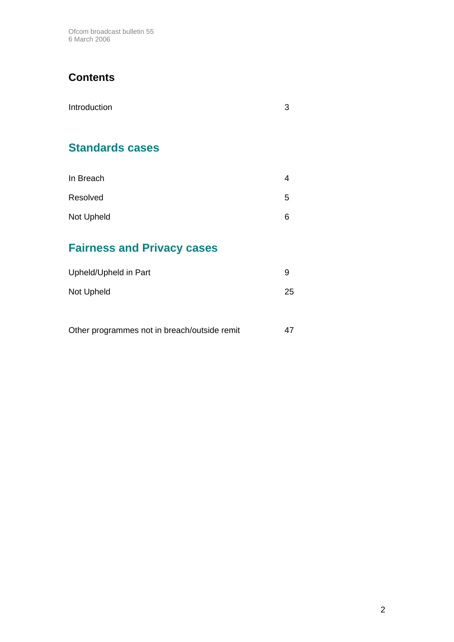Ofcom broadcast bulletin 55 6 March 2006

# **Contents**

| Introduction           | 3 |
|------------------------|---|
| <b>Standards cases</b> |   |
| In Breach              | 4 |
| Resolved               | 5 |
| Not Upheld             | 6 |

# **Fairness and Privacy cases**

| Upheld/Upheld in Part | 9  |
|-----------------------|----|
| Not Upheld            | 25 |

| Other programmes not in breach/outside remit |  |
|----------------------------------------------|--|
|----------------------------------------------|--|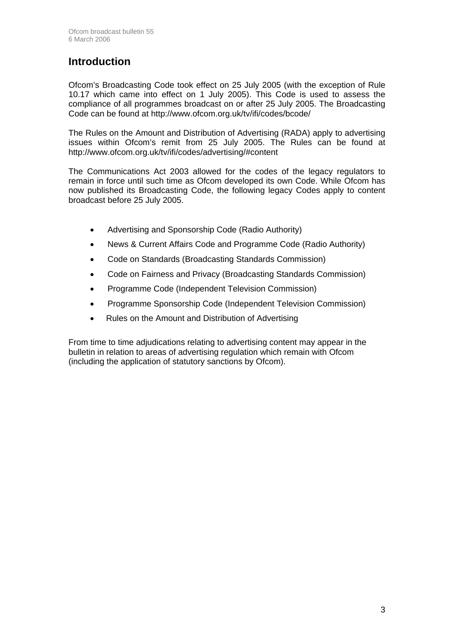## **Introduction**

Ofcom's Broadcasting Code took effect on 25 July 2005 (with the exception of Rule 10.17 which came into effect on 1 July 2005). This Code is used to assess the compliance of all programmes broadcast on or after 25 July 2005. The Broadcasting Code can be found at http://www.ofcom.org.uk/tv/ifi/codes/bcode/

The Rules on the Amount and Distribution of Advertising (RADA) apply to advertising issues within Ofcom's remit from 25 July 2005. The Rules can be found at http://www.ofcom.org.uk/tv/ifi/codes/advertising/#content

The Communications Act 2003 allowed for the codes of the legacy regulators to remain in force until such time as Ofcom developed its own Code. While Ofcom has now published its Broadcasting Code, the following legacy Codes apply to content broadcast before 25 July 2005.

- Advertising and Sponsorship Code (Radio Authority)
- News & Current Affairs Code and Programme Code (Radio Authority)
- Code on Standards (Broadcasting Standards Commission)
- Code on Fairness and Privacy (Broadcasting Standards Commission)
- Programme Code (Independent Television Commission)
- Programme Sponsorship Code (Independent Television Commission)
- Rules on the Amount and Distribution of Advertising

From time to time adjudications relating to advertising content may appear in the bulletin in relation to areas of advertising regulation which remain with Ofcom (including the application of statutory sanctions by Ofcom).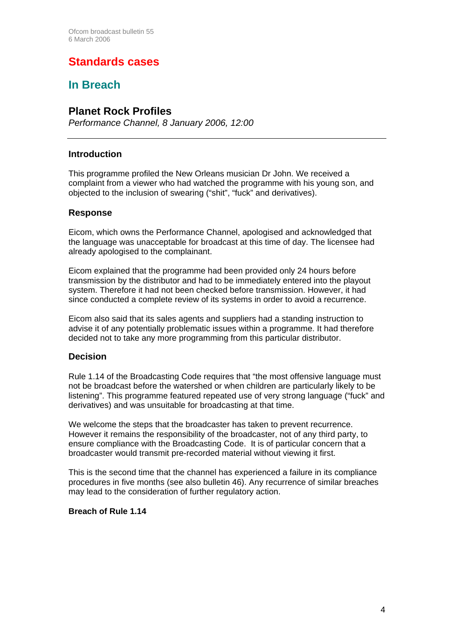# **Standards cases**

# **In Breach**

### **Planet Rock Profiles**

*Performance Channel, 8 January 2006, 12:00*

#### **Introduction**

This programme profiled the New Orleans musician Dr John. We received a complaint from a viewer who had watched the programme with his young son, and objected to the inclusion of swearing ("shit", "fuck" and derivatives).

#### **Response**

Eicom, which owns the Performance Channel, apologised and acknowledged that the language was unacceptable for broadcast at this time of day. The licensee had already apologised to the complainant.

Eicom explained that the programme had been provided only 24 hours before transmission by the distributor and had to be immediately entered into the playout system. Therefore it had not been checked before transmission. However, it had since conducted a complete review of its systems in order to avoid a recurrence.

Eicom also said that its sales agents and suppliers had a standing instruction to advise it of any potentially problematic issues within a programme. It had therefore decided not to take any more programming from this particular distributor.

#### **Decision**

Rule 1.14 of the Broadcasting Code requires that "the most offensive language must not be broadcast before the watershed or when children are particularly likely to be listening". This programme featured repeated use of very strong language ("fuck" and derivatives) and was unsuitable for broadcasting at that time.

We welcome the steps that the broadcaster has taken to prevent recurrence. However it remains the responsibility of the broadcaster, not of any third party, to ensure compliance with the Broadcasting Code. It is of particular concern that a broadcaster would transmit pre-recorded material without viewing it first.

This is the second time that the channel has experienced a failure in its compliance procedures in five months (see also bulletin 46). Any recurrence of similar breaches may lead to the consideration of further regulatory action.

#### **Breach of Rule 1.14**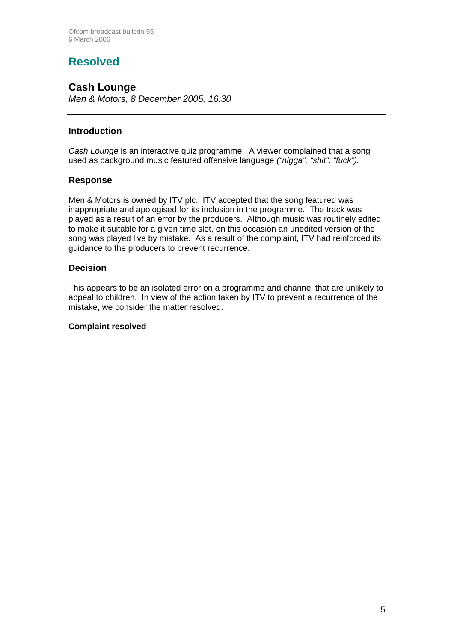# **Resolved**

### **Cash Lounge**

*Men & Motors, 8 December 2005, 16:30* 

#### **Introduction**

*Cash Lounge* is an interactive quiz programme. A viewer complained that a song used as background music featured offensive language *("nigga", "shit", "fuck").*

#### **Response**

Men & Motors is owned by ITV plc. ITV accepted that the song featured was inappropriate and apologised for its inclusion in the programme. The track was played as a result of an error by the producers. Although music was routinely edited to make it suitable for a given time slot, on this occasion an unedited version of the song was played live by mistake. As a result of the complaint, ITV had reinforced its guidance to the producers to prevent recurrence.

#### **Decision**

This appears to be an isolated error on a programme and channel that are unlikely to appeal to children. In view of the action taken by ITV to prevent a recurrence of the mistake, we consider the matter resolved.

#### **Complaint resolved**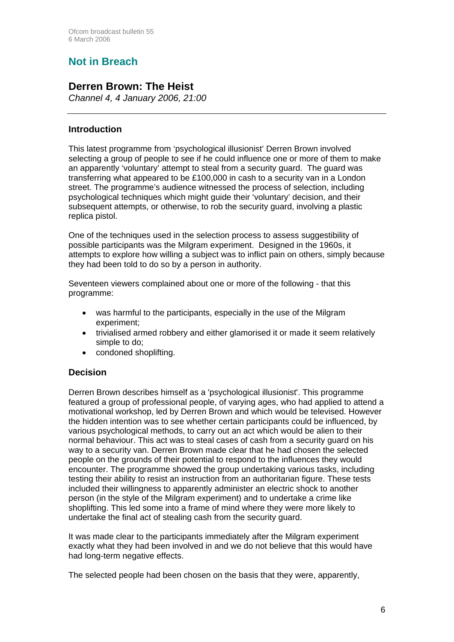# **Not in Breach**

### **Derren Brown: The Heist**

*Channel 4, 4 January 2006, 21:00*

#### **Introduction**

This latest programme from 'psychological illusionist' Derren Brown involved selecting a group of people to see if he could influence one or more of them to make an apparently 'voluntary' attempt to steal from a security guard. The guard was transferring what appeared to be £100,000 in cash to a security van in a London street. The programme's audience witnessed the process of selection, including psychological techniques which might guide their 'voluntary' decision, and their subsequent attempts, or otherwise, to rob the security guard, involving a plastic replica pistol.

One of the techniques used in the selection process to assess suggestibility of possible participants was the Milgram experiment. Designed in the 1960s, it attempts to explore how willing a subject was to inflict pain on others, simply because they had been told to do so by a person in authority.

Seventeen viewers complained about one or more of the following - that this programme:

- was harmful to the participants, especially in the use of the Milgram experiment;
- trivialised armed robbery and either glamorised it or made it seem relatively simple to do;
- condoned shoplifting.

#### **Decision**

Derren Brown describes himself as a 'psychological illusionist'. This programme featured a group of professional people, of varying ages, who had applied to attend a motivational workshop, led by Derren Brown and which would be televised. However the hidden intention was to see whether certain participants could be influenced, by various psychological methods, to carry out an act which would be alien to their normal behaviour. This act was to steal cases of cash from a security guard on his way to a security van. Derren Brown made clear that he had chosen the selected people on the grounds of their potential to respond to the influences they would encounter. The programme showed the group undertaking various tasks, including testing their ability to resist an instruction from an authoritarian figure. These tests included their willingness to apparently administer an electric shock to another person (in the style of the Milgram experiment) and to undertake a crime like shoplifting. This led some into a frame of mind where they were more likely to undertake the final act of stealing cash from the security guard.

It was made clear to the participants immediately after the Milgram experiment exactly what they had been involved in and we do not believe that this would have had long-term negative effects.

The selected people had been chosen on the basis that they were, apparently,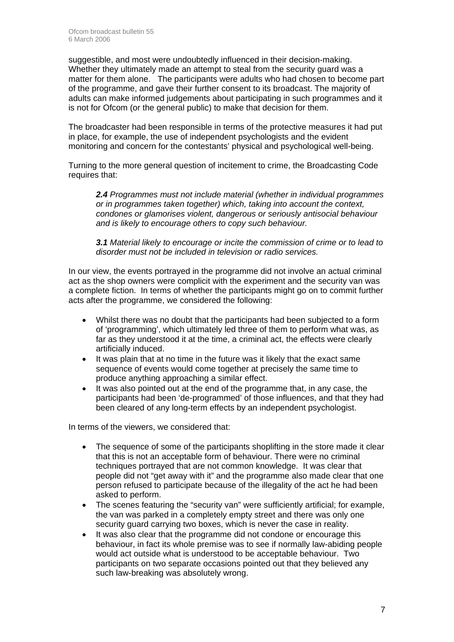suggestible, and most were undoubtedly influenced in their decision-making. Whether they ultimately made an attempt to steal from the security guard was a matter for them alone. The participants were adults who had chosen to become part of the programme, and gave their further consent to its broadcast. The majority of adults can make informed judgements about participating in such programmes and it is not for Ofcom (or the general public) to make that decision for them.

The broadcaster had been responsible in terms of the protective measures it had put in place, for example, the use of independent psychologists and the evident monitoring and concern for the contestants' physical and psychological well-being.

Turning to the more general question of incitement to crime, the Broadcasting Code requires that:

*2.4 Programmes must not include material (whether in individual programmes or in programmes taken together) which, taking into account the context, condones or glamorises violent, dangerous or seriously antisocial behaviour and is likely to encourage others to copy such behaviour.* 

*3.1 Material likely to encourage or incite the commission of crime or to lead to disorder must not be included in television or radio services.* 

In our view, the events portrayed in the programme did not involve an actual criminal act as the shop owners were complicit with the experiment and the security van was a complete fiction. In terms of whether the participants might go on to commit further acts after the programme, we considered the following:

- Whilst there was no doubt that the participants had been subjected to a form of 'programming', which ultimately led three of them to perform what was, as far as they understood it at the time, a criminal act, the effects were clearly artificially induced.
- It was plain that at no time in the future was it likely that the exact same sequence of events would come together at precisely the same time to produce anything approaching a similar effect.
- It was also pointed out at the end of the programme that, in any case, the participants had been 'de-programmed' of those influences, and that they had been cleared of any long-term effects by an independent psychologist.

In terms of the viewers, we considered that:

- The sequence of some of the participants shoplifting in the store made it clear that this is not an acceptable form of behaviour. There were no criminal techniques portrayed that are not common knowledge. It was clear that people did not "get away with it" and the programme also made clear that one person refused to participate because of the illegality of the act he had been asked to perform.
- The scenes featuring the "security van" were sufficiently artificial; for example, the van was parked in a completely empty street and there was only one security guard carrying two boxes, which is never the case in reality.
- It was also clear that the programme did not condone or encourage this behaviour, in fact its whole premise was to see if normally law-abiding people would act outside what is understood to be acceptable behaviour. Two participants on two separate occasions pointed out that they believed any such law-breaking was absolutely wrong.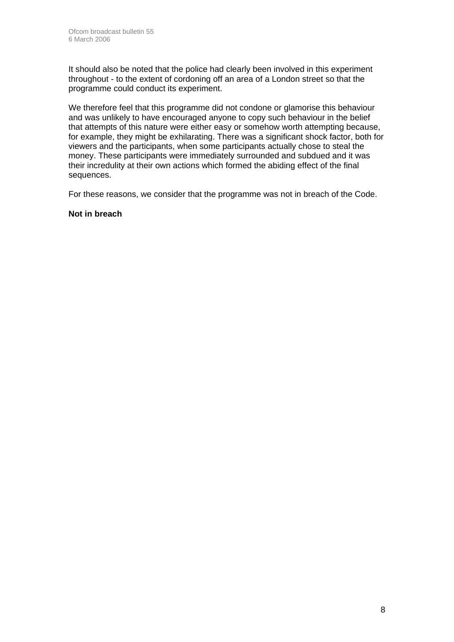It should also be noted that the police had clearly been involved in this experiment throughout - to the extent of cordoning off an area of a London street so that the programme could conduct its experiment.

We therefore feel that this programme did not condone or glamorise this behaviour and was unlikely to have encouraged anyone to copy such behaviour in the belief that attempts of this nature were either easy or somehow worth attempting because, for example, they might be exhilarating. There was a significant shock factor, both for viewers and the participants, when some participants actually chose to steal the money. These participants were immediately surrounded and subdued and it was their incredulity at their own actions which formed the abiding effect of the final sequences.

For these reasons, we consider that the programme was not in breach of the Code.

#### **Not in breach**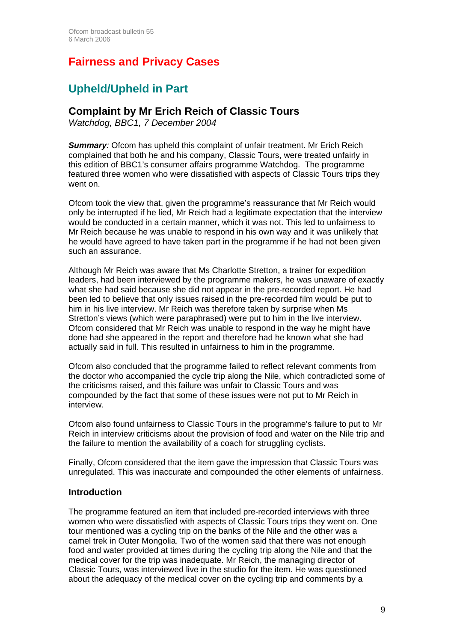# **Fairness and Privacy Cases**

# **Upheld/Upheld in Part**

### **Complaint by Mr Erich Reich of Classic Tours**

*Watchdog, BBC1, 7 December 2004* 

**Summary**: Ofcom has upheld this complaint of unfair treatment. Mr Erich Reich complained that both he and his company, Classic Tours, were treated unfairly in this edition of BBC1's consumer affairs programme Watchdog. The programme featured three women who were dissatisfied with aspects of Classic Tours trips they went on.

Ofcom took the view that, given the programme's reassurance that Mr Reich would only be interrupted if he lied, Mr Reich had a legitimate expectation that the interview would be conducted in a certain manner, which it was not. This led to unfairness to Mr Reich because he was unable to respond in his own way and it was unlikely that he would have agreed to have taken part in the programme if he had not been given such an assurance.

Although Mr Reich was aware that Ms Charlotte Stretton, a trainer for expedition leaders, had been interviewed by the programme makers, he was unaware of exactly what she had said because she did not appear in the pre-recorded report. He had been led to believe that only issues raised in the pre-recorded film would be put to him in his live interview. Mr Reich was therefore taken by surprise when Ms Stretton's views (which were paraphrased) were put to him in the live interview. Ofcom considered that Mr Reich was unable to respond in the way he might have done had she appeared in the report and therefore had he known what she had actually said in full. This resulted in unfairness to him in the programme.

Ofcom also concluded that the programme failed to reflect relevant comments from the doctor who accompanied the cycle trip along the Nile, which contradicted some of the criticisms raised, and this failure was unfair to Classic Tours and was compounded by the fact that some of these issues were not put to Mr Reich in interview.

Ofcom also found unfairness to Classic Tours in the programme's failure to put to Mr Reich in interview criticisms about the provision of food and water on the Nile trip and the failure to mention the availability of a coach for struggling cyclists.

Finally, Ofcom considered that the item gave the impression that Classic Tours was unregulated. This was inaccurate and compounded the other elements of unfairness.

#### **Introduction**

The programme featured an item that included pre-recorded interviews with three women who were dissatisfied with aspects of Classic Tours trips they went on. One tour mentioned was a cycling trip on the banks of the Nile and the other was a camel trek in Outer Mongolia. Two of the women said that there was not enough food and water provided at times during the cycling trip along the Nile and that the medical cover for the trip was inadequate. Mr Reich, the managing director of Classic Tours, was interviewed live in the studio for the item. He was questioned about the adequacy of the medical cover on the cycling trip and comments by a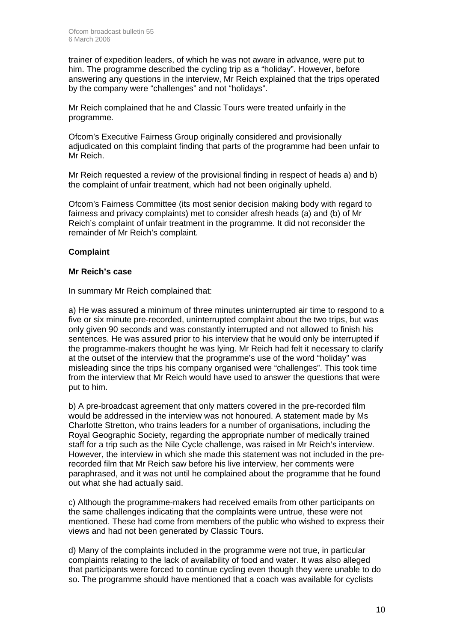trainer of expedition leaders, of which he was not aware in advance, were put to him. The programme described the cycling trip as a "holiday". However, before answering any questions in the interview, Mr Reich explained that the trips operated by the company were "challenges" and not "holidays".

Mr Reich complained that he and Classic Tours were treated unfairly in the programme.

Ofcom's Executive Fairness Group originally considered and provisionally adjudicated on this complaint finding that parts of the programme had been unfair to Mr Reich.

Mr Reich requested a review of the provisional finding in respect of heads a) and b) the complaint of unfair treatment, which had not been originally upheld.

Ofcom's Fairness Committee (its most senior decision making body with regard to fairness and privacy complaints) met to consider afresh heads (a) and (b) of Mr Reich's complaint of unfair treatment in the programme. It did not reconsider the remainder of Mr Reich's complaint.

#### **Complaint**

#### **Mr Reich's case**

In summary Mr Reich complained that:

a) He was assured a minimum of three minutes uninterrupted air time to respond to a five or six minute pre-recorded, uninterrupted complaint about the two trips, but was only given 90 seconds and was constantly interrupted and not allowed to finish his sentences. He was assured prior to his interview that he would only be interrupted if the programme-makers thought he was lying. Mr Reich had felt it necessary to clarify at the outset of the interview that the programme's use of the word "holiday" was misleading since the trips his company organised were "challenges". This took time from the interview that Mr Reich would have used to answer the questions that were put to him.

b) A pre-broadcast agreement that only matters covered in the pre-recorded film would be addressed in the interview was not honoured. A statement made by Ms Charlotte Stretton, who trains leaders for a number of organisations, including the Royal Geographic Society, regarding the appropriate number of medically trained staff for a trip such as the Nile Cycle challenge, was raised in Mr Reich's interview. However, the interview in which she made this statement was not included in the prerecorded film that Mr Reich saw before his live interview, her comments were paraphrased, and it was not until he complained about the programme that he found out what she had actually said.

c) Although the programme-makers had received emails from other participants on the same challenges indicating that the complaints were untrue, these were not mentioned. These had come from members of the public who wished to express their views and had not been generated by Classic Tours.

d) Many of the complaints included in the programme were not true, in particular complaints relating to the lack of availability of food and water. It was also alleged that participants were forced to continue cycling even though they were unable to do so. The programme should have mentioned that a coach was available for cyclists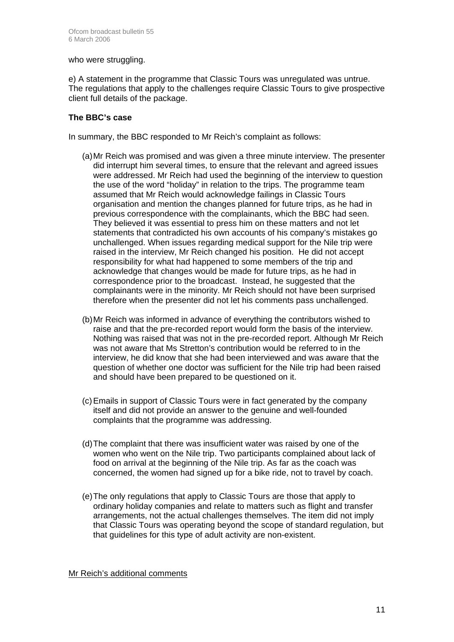who were struggling.

e) A statement in the programme that Classic Tours was unregulated was untrue. The regulations that apply to the challenges require Classic Tours to give prospective client full details of the package.

#### **The BBC's case**

In summary, the BBC responded to Mr Reich's complaint as follows:

- (a) Mr Reich was promised and was given a three minute interview. The presenter did interrupt him several times, to ensure that the relevant and agreed issues were addressed. Mr Reich had used the beginning of the interview to question the use of the word "holiday" in relation to the trips. The programme team assumed that Mr Reich would acknowledge failings in Classic Tours organisation and mention the changes planned for future trips, as he had in previous correspondence with the complainants, which the BBC had seen. They believed it was essential to press him on these matters and not let statements that contradicted his own accounts of his company's mistakes go unchallenged. When issues regarding medical support for the Nile trip were raised in the interview, Mr Reich changed his position. He did not accept responsibility for what had happened to some members of the trip and acknowledge that changes would be made for future trips, as he had in correspondence prior to the broadcast. Instead, he suggested that the complainants were in the minority. Mr Reich should not have been surprised therefore when the presenter did not let his comments pass unchallenged.
- (b) Mr Reich was informed in advance of everything the contributors wished to raise and that the pre-recorded report would form the basis of the interview. Nothing was raised that was not in the pre-recorded report. Although Mr Reich was not aware that Ms Stretton's contribution would be referred to in the interview, he did know that she had been interviewed and was aware that the question of whether one doctor was sufficient for the Nile trip had been raised and should have been prepared to be questioned on it.
- (c) Emails in support of Classic Tours were in fact generated by the company itself and did not provide an answer to the genuine and well-founded complaints that the programme was addressing.
- (d) The complaint that there was insufficient water was raised by one of the women who went on the Nile trip. Two participants complained about lack of food on arrival at the beginning of the Nile trip. As far as the coach was concerned, the women had signed up for a bike ride, not to travel by coach.
- (e) The only regulations that apply to Classic Tours are those that apply to ordinary holiday companies and relate to matters such as flight and transfer arrangements, not the actual challenges themselves. The item did not imply that Classic Tours was operating beyond the scope of standard regulation, but that guidelines for this type of adult activity are non-existent.

Mr Reich's additional comments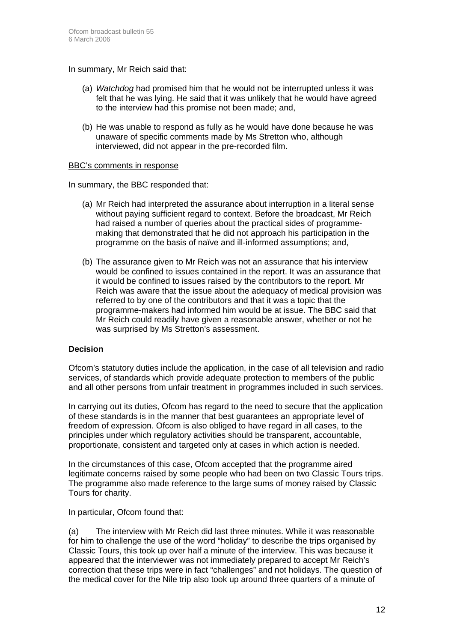In summary, Mr Reich said that:

- (a) *Watchdog* had promised him that he would not be interrupted unless it was felt that he was lying. He said that it was unlikely that he would have agreed to the interview had this promise not been made; and,
- (b) He was unable to respond as fully as he would have done because he was unaware of specific comments made by Ms Stretton who, although interviewed, did not appear in the pre-recorded film.

#### BBC's comments in response

In summary, the BBC responded that:

- (a) Mr Reich had interpreted the assurance about interruption in a literal sense without paying sufficient regard to context. Before the broadcast, Mr Reich had raised a number of queries about the practical sides of programmemaking that demonstrated that he did not approach his participation in the programme on the basis of naïve and ill-informed assumptions; and,
- (b) The assurance given to Mr Reich was not an assurance that his interview would be confined to issues contained in the report. It was an assurance that it would be confined to issues raised by the contributors to the report. Mr Reich was aware that the issue about the adequacy of medical provision was referred to by one of the contributors and that it was a topic that the programme-makers had informed him would be at issue. The BBC said that Mr Reich could readily have given a reasonable answer, whether or not he was surprised by Ms Stretton's assessment.

#### **Decision**

Ofcom's statutory duties include the application, in the case of all television and radio services, of standards which provide adequate protection to members of the public and all other persons from unfair treatment in programmes included in such services.

In carrying out its duties, Ofcom has regard to the need to secure that the application of these standards is in the manner that best guarantees an appropriate level of freedom of expression. Ofcom is also obliged to have regard in all cases, to the principles under which regulatory activities should be transparent, accountable, proportionate, consistent and targeted only at cases in which action is needed.

In the circumstances of this case, Ofcom accepted that the programme aired legitimate concerns raised by some people who had been on two Classic Tours trips. The programme also made reference to the large sums of money raised by Classic Tours for charity.

In particular, Ofcom found that:

(a) The interview with Mr Reich did last three minutes. While it was reasonable for him to challenge the use of the word "holiday" to describe the trips organised by Classic Tours, this took up over half a minute of the interview. This was because it appeared that the interviewer was not immediately prepared to accept Mr Reich's correction that these trips were in fact "challenges" and not holidays. The question of the medical cover for the Nile trip also took up around three quarters of a minute of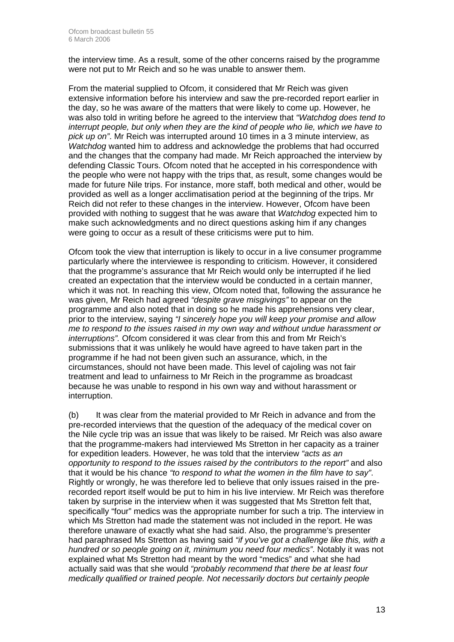the interview time. As a result, some of the other concerns raised by the programme were not put to Mr Reich and so he was unable to answer them.

From the material supplied to Ofcom, it considered that Mr Reich was given extensive information before his interview and saw the pre-recorded report earlier in the day, so he was aware of the matters that were likely to come up. However, he was also told in writing before he agreed to the interview that *"Watchdog does tend to interrupt people, but only when they are the kind of people who lie, which we have to pick up on"*. Mr Reich was interrupted around 10 times in a 3 minute interview, as *Watchdog* wanted him to address and acknowledge the problems that had occurred and the changes that the company had made. Mr Reich approached the interview by defending Classic Tours. Ofcom noted that he accepted in his correspondence with the people who were not happy with the trips that, as result, some changes would be made for future Nile trips. For instance, more staff, both medical and other, would be provided as well as a longer acclimatisation period at the beginning of the trips. Mr Reich did not refer to these changes in the interview. However, Ofcom have been provided with nothing to suggest that he was aware that *Watchdog* expected him to make such acknowledgments and no direct questions asking him if any changes were going to occur as a result of these criticisms were put to him.

Ofcom took the view that interruption is likely to occur in a live consumer programme particularly where the interviewee is responding to criticism. However, it considered that the programme's assurance that Mr Reich would only be interrupted if he lied created an expectation that the interview would be conducted in a certain manner, which it was not. In reaching this view, Ofcom noted that, following the assurance he was given, Mr Reich had agreed *"despite grave misgivings"* to appear on the programme and also noted that in doing so he made his apprehensions very clear, prior to the interview, saying *"I sincerely hope you will keep your promise and allow me to respond to the issues raised in my own way and without undue harassment or interruptions".* Ofcom considered it was clear from this and from Mr Reich's submissions that it was unlikely he would have agreed to have taken part in the programme if he had not been given such an assurance, which, in the circumstances, should not have been made. This level of cajoling was not fair treatment and lead to unfairness to Mr Reich in the programme as broadcast because he was unable to respond in his own way and without harassment or interruption.

(b) It was clear from the material provided to Mr Reich in advance and from the pre-recorded interviews that the question of the adequacy of the medical cover on the Nile cycle trip was an issue that was likely to be raised. Mr Reich was also aware that the programme-makers had interviewed Ms Stretton in her capacity as a trainer for expedition leaders. However, he was told that the interview *"acts as an opportunity to respond to the issues raised by the contributors to the report"* and also that it would be his chance *"to respond to what the women in the film have to say"*. Rightly or wrongly, he was therefore led to believe that only issues raised in the prerecorded report itself would be put to him in his live interview. Mr Reich was therefore taken by surprise in the interview when it was suggested that Ms Stretton felt that, specifically "four" medics was the appropriate number for such a trip. The interview in which Ms Stretton had made the statement was not included in the report. He was therefore unaware of exactly what she had said. Also, the programme's presenter had paraphrased Ms Stretton as having said *"if you've got a challenge like this, with a hundred or so people going on it, minimum you need four medics"*. Notably it was not explained what Ms Stretton had meant by the word "medics" and what she had actually said was that she would *"probably recommend that there be at least four medically qualified or trained people. Not necessarily doctors but certainly people*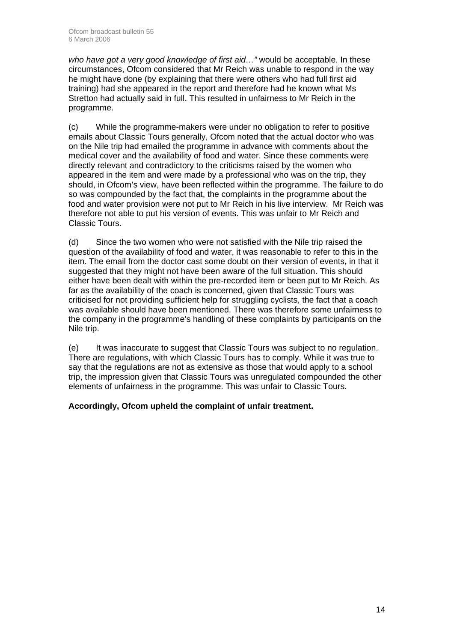*who have got a very good knowledge of first aid…"* would be acceptable. In these circumstances, Ofcom considered that Mr Reich was unable to respond in the way he might have done (by explaining that there were others who had full first aid training) had she appeared in the report and therefore had he known what Ms Stretton had actually said in full. This resulted in unfairness to Mr Reich in the programme.

(c) While the programme-makers were under no obligation to refer to positive emails about Classic Tours generally, Ofcom noted that the actual doctor who was on the Nile trip had emailed the programme in advance with comments about the medical cover and the availability of food and water. Since these comments were directly relevant and contradictory to the criticisms raised by the women who appeared in the item and were made by a professional who was on the trip, they should, in Ofcom's view, have been reflected within the programme. The failure to do so was compounded by the fact that, the complaints in the programme about the food and water provision were not put to Mr Reich in his live interview. Mr Reich was therefore not able to put his version of events. This was unfair to Mr Reich and Classic Tours.

(d) Since the two women who were not satisfied with the Nile trip raised the question of the availability of food and water, it was reasonable to refer to this in the item. The email from the doctor cast some doubt on their version of events, in that it suggested that they might not have been aware of the full situation. This should either have been dealt with within the pre-recorded item or been put to Mr Reich. As far as the availability of the coach is concerned, given that Classic Tours was criticised for not providing sufficient help for struggling cyclists, the fact that a coach was available should have been mentioned. There was therefore some unfairness to the company in the programme's handling of these complaints by participants on the Nile trip.

(e) It was inaccurate to suggest that Classic Tours was subject to no regulation. There are regulations, with which Classic Tours has to comply. While it was true to say that the regulations are not as extensive as those that would apply to a school trip, the impression given that Classic Tours was unregulated compounded the other elements of unfairness in the programme. This was unfair to Classic Tours.

#### **Accordingly, Ofcom upheld the complaint of unfair treatment.**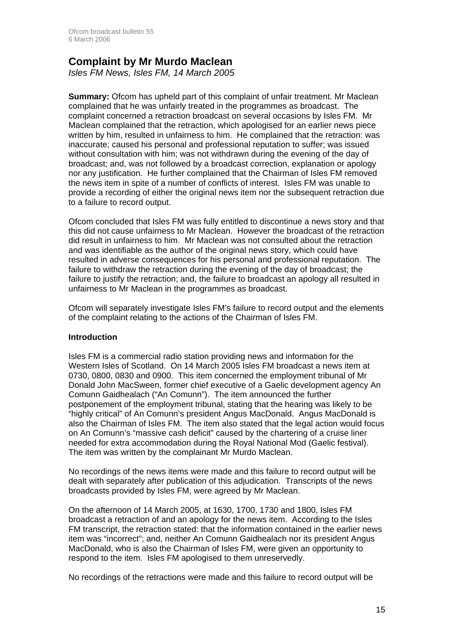### **Complaint by Mr Murdo Maclean**

*Isles FM News, Isles FM, 14 March 2005* 

**Summary:** Ofcom has upheld part of this complaint of unfair treatment. Mr Maclean complained that he was unfairly treated in the programmes as broadcast. The complaint concerned a retraction broadcast on several occasions by Isles FM. Mr Maclean complained that the retraction, which apologised for an earlier news piece written by him, resulted in unfairness to him. He complained that the retraction: was inaccurate; caused his personal and professional reputation to suffer; was issued without consultation with him; was not withdrawn during the evening of the day of broadcast; and, was not followed by a broadcast correction, explanation or apology nor any justification. He further complained that the Chairman of Isles FM removed the news item in spite of a number of conflicts of interest. Isles FM was unable to provide a recording of either the original news item nor the subsequent retraction due to a failure to record output.

Ofcom concluded that Isles FM was fully entitled to discontinue a news story and that this did not cause unfairness to Mr Maclean. However the broadcast of the retraction did result in unfairness to him. Mr Maclean was not consulted about the retraction and was identifiable as the author of the original news story, which could have resulted in adverse consequences for his personal and professional reputation. The failure to withdraw the retraction during the evening of the day of broadcast; the failure to justify the retraction; and, the failure to broadcast an apology all resulted in unfairness to Mr Maclean in the programmes as broadcast.

Ofcom will separately investigate Isles FM's failure to record output and the elements of the complaint relating to the actions of the Chairman of Isles FM.

#### **Introduction**

Isles FM is a commercial radio station providing news and information for the Western Isles of Scotland. On 14 March 2005 Isles FM broadcast a news item at 0730, 0800, 0830 and 0900. This item concerned the employment tribunal of Mr Donald John MacSween, former chief executive of a Gaelic development agency An Comunn Gaidhealach ("An Comunn"). The item announced the further postponement of the employment tribunal, stating that the hearing was likely to be "highly critical" of An Comunn's president Angus MacDonald. Angus MacDonald is also the Chairman of Isles FM. The item also stated that the legal action would focus on An Comunn's "massive cash deficit" caused by the chartering of a cruise liner needed for extra accommodation during the Royal National Mod (Gaelic festival). The item was written by the complainant Mr Murdo Maclean.

No recordings of the news items were made and this failure to record output will be dealt with separately after publication of this adjudication. Transcripts of the news broadcasts provided by Isles FM, were agreed by Mr Maclean.

On the afternoon of 14 March 2005, at 1630, 1700, 1730 and 1800, Isles FM broadcast a retraction of and an apology for the news item. According to the Isles FM transcript, the retraction stated: that the information contained in the earlier news item was "incorrect"; and, neither An Comunn Gaidhealach nor its president Angus MacDonald, who is also the Chairman of Isles FM, were given an opportunity to respond to the item. Isles FM apologised to them unreservedly.

No recordings of the retractions were made and this failure to record output will be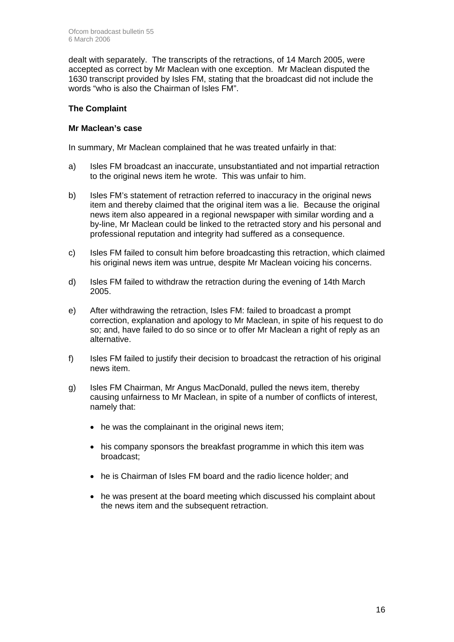dealt with separately. The transcripts of the retractions, of 14 March 2005, were accepted as correct by Mr Maclean with one exception. Mr Maclean disputed the 1630 transcript provided by Isles FM, stating that the broadcast did not include the words "who is also the Chairman of Isles FM".

#### **The Complaint**

#### **Mr Maclean's case**

In summary, Mr Maclean complained that he was treated unfairly in that:

- a) Isles FM broadcast an inaccurate, unsubstantiated and not impartial retraction to the original news item he wrote. This was unfair to him.
- b) Isles FM's statement of retraction referred to inaccuracy in the original news item and thereby claimed that the original item was a lie. Because the original news item also appeared in a regional newspaper with similar wording and a by-line, Mr Maclean could be linked to the retracted story and his personal and professional reputation and integrity had suffered as a consequence.
- c) Isles FM failed to consult him before broadcasting this retraction, which claimed his original news item was untrue, despite Mr Maclean voicing his concerns.
- d) Isles FM failed to withdraw the retraction during the evening of 14th March 2005.
- e) After withdrawing the retraction, Isles FM: failed to broadcast a prompt correction, explanation and apology to Mr Maclean, in spite of his request to do so; and, have failed to do so since or to offer Mr Maclean a right of reply as an alternative.
- f) Isles FM failed to justify their decision to broadcast the retraction of his original news item.
- g) Isles FM Chairman, Mr Angus MacDonald, pulled the news item, thereby causing unfairness to Mr Maclean, in spite of a number of conflicts of interest, namely that:
	- he was the complainant in the original news item;
	- his company sponsors the breakfast programme in which this item was broadcast;
	- he is Chairman of Isles FM board and the radio licence holder; and
	- he was present at the board meeting which discussed his complaint about the news item and the subsequent retraction.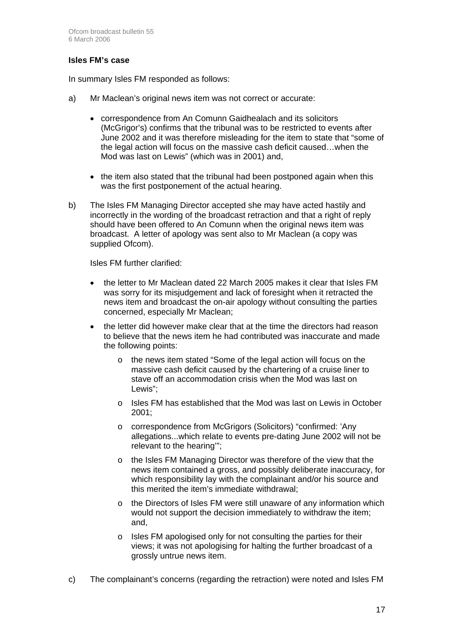#### **Isles FM's case**

In summary Isles FM responded as follows:

- a) Mr Maclean's original news item was not correct or accurate:
	- correspondence from An Comunn Gaidhealach and its solicitors (McGrigor's) confirms that the tribunal was to be restricted to events after June 2002 and it was therefore misleading for the item to state that "some of the legal action will focus on the massive cash deficit caused…when the Mod was last on Lewis" (which was in 2001) and,
	- the item also stated that the tribunal had been postponed again when this was the first postponement of the actual hearing.
- b) The Isles FM Managing Director accepted she may have acted hastily and incorrectly in the wording of the broadcast retraction and that a right of reply should have been offered to An Comunn when the original news item was broadcast. A letter of apology was sent also to Mr Maclean (a copy was supplied Ofcom).

Isles FM further clarified:

- the letter to Mr Maclean dated 22 March 2005 makes it clear that Isles FM was sorry for its misjudgement and lack of foresight when it retracted the news item and broadcast the on-air apology without consulting the parties concerned, especially Mr Maclean;
- the letter did however make clear that at the time the directors had reason to believe that the news item he had contributed was inaccurate and made the following points:
	- o the news item stated "Some of the legal action will focus on the massive cash deficit caused by the chartering of a cruise liner to stave off an accommodation crisis when the Mod was last on Lewis";
	- o Isles FM has established that the Mod was last on Lewis in October 2001;
	- o correspondence from McGrigors (Solicitors) "confirmed: 'Any allegations...which relate to events pre-dating June 2002 will not be relevant to the hearing'";
	- o the Isles FM Managing Director was therefore of the view that the news item contained a gross, and possibly deliberate inaccuracy, for which responsibility lay with the complainant and/or his source and this merited the item's immediate withdrawal;
	- $\circ$  the Directors of Isles FM were still unaware of any information which would not support the decision immediately to withdraw the item; and,
	- o Isles FM apologised only for not consulting the parties for their views; it was not apologising for halting the further broadcast of a grossly untrue news item.
- c) The complainant's concerns (regarding the retraction) were noted and Isles FM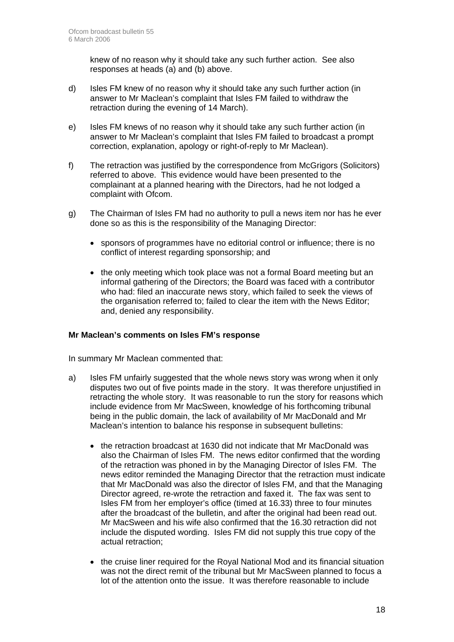knew of no reason why it should take any such further action. See also responses at heads (a) and (b) above.

- d) Isles FM knew of no reason why it should take any such further action (in answer to Mr Maclean's complaint that Isles FM failed to withdraw the retraction during the evening of 14 March).
- e) Isles FM knews of no reason why it should take any such further action (in answer to Mr Maclean's complaint that Isles FM failed to broadcast a prompt correction, explanation, apology or right-of-reply to Mr Maclean).
- f) The retraction was justified by the correspondence from McGrigors (Solicitors) referred to above. This evidence would have been presented to the complainant at a planned hearing with the Directors, had he not lodged a complaint with Ofcom.
- g) The Chairman of Isles FM had no authority to pull a news item nor has he ever done so as this is the responsibility of the Managing Director:
	- sponsors of programmes have no editorial control or influence; there is no conflict of interest regarding sponsorship; and
	- the only meeting which took place was not a formal Board meeting but an informal gathering of the Directors; the Board was faced with a contributor who had: filed an inaccurate news story, which failed to seek the views of the organisation referred to; failed to clear the item with the News Editor; and, denied any responsibility.

#### **Mr Maclean's comments on Isles FM's response**

In summary Mr Maclean commented that:

- a) Isles FM unfairly suggested that the whole news story was wrong when it only disputes two out of five points made in the story. It was therefore unjustified in retracting the whole story. It was reasonable to run the story for reasons which include evidence from Mr MacSween, knowledge of his forthcoming tribunal being in the public domain, the lack of availability of Mr MacDonald and Mr Maclean's intention to balance his response in subsequent bulletins:
	- the retraction broadcast at 1630 did not indicate that Mr MacDonald was also the Chairman of Isles FM. The news editor confirmed that the wording of the retraction was phoned in by the Managing Director of Isles FM. The news editor reminded the Managing Director that the retraction must indicate that Mr MacDonald was also the director of Isles FM, and that the Managing Director agreed, re-wrote the retraction and faxed it. The fax was sent to Isles FM from her employer's office (timed at 16.33) three to four minutes after the broadcast of the bulletin, and after the original had been read out. Mr MacSween and his wife also confirmed that the 16.30 retraction did not include the disputed wording. Isles FM did not supply this true copy of the actual retraction;
	- the cruise liner required for the Royal National Mod and its financial situation was not the direct remit of the tribunal but Mr MacSween planned to focus a lot of the attention onto the issue. It was therefore reasonable to include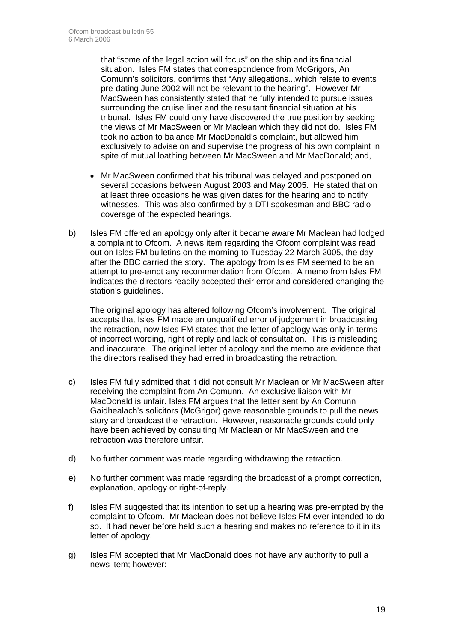that "some of the legal action will focus" on the ship and its financial situation. Isles FM states that correspondence from McGrigors, An Comunn's solicitors, confirms that "Any allegations...which relate to events pre-dating June 2002 will not be relevant to the hearing". However Mr MacSween has consistently stated that he fully intended to pursue issues surrounding the cruise liner and the resultant financial situation at his tribunal. Isles FM could only have discovered the true position by seeking the views of Mr MacSween or Mr Maclean which they did not do. Isles FM took no action to balance Mr MacDonald's complaint, but allowed him exclusively to advise on and supervise the progress of his own complaint in spite of mutual loathing between Mr MacSween and Mr MacDonald; and,

- Mr MacSween confirmed that his tribunal was delayed and postponed on several occasions between August 2003 and May 2005. He stated that on at least three occasions he was given dates for the hearing and to notify witnesses. This was also confirmed by a DTI spokesman and BBC radio coverage of the expected hearings.
- b) Isles FM offered an apology only after it became aware Mr Maclean had lodged a complaint to Ofcom. A news item regarding the Ofcom complaint was read out on Isles FM bulletins on the morning to Tuesday 22 March 2005, the day after the BBC carried the story. The apology from Isles FM seemed to be an attempt to pre-empt any recommendation from Ofcom. A memo from Isles FM indicates the directors readily accepted their error and considered changing the station's guidelines.

The original apology has altered following Ofcom's involvement. The original accepts that Isles FM made an unqualified error of judgement in broadcasting the retraction, now Isles FM states that the letter of apology was only in terms of incorrect wording, right of reply and lack of consultation. This is misleading and inaccurate. The original letter of apology and the memo are evidence that the directors realised they had erred in broadcasting the retraction.

- c) Isles FM fully admitted that it did not consult Mr Maclean or Mr MacSween after receiving the complaint from An Comunn. An exclusive liaison with Mr MacDonald is unfair. Isles FM argues that the letter sent by An Comunn Gaidhealach's solicitors (McGrigor) gave reasonable grounds to pull the news story and broadcast the retraction. However, reasonable grounds could only have been achieved by consulting Mr Maclean or Mr MacSween and the retraction was therefore unfair.
- d) No further comment was made regarding withdrawing the retraction.
- e) No further comment was made regarding the broadcast of a prompt correction, explanation, apology or right-of-reply.
- f) Isles FM suggested that its intention to set up a hearing was pre-empted by the complaint to Ofcom. Mr Maclean does not believe Isles FM ever intended to do so. It had never before held such a hearing and makes no reference to it in its letter of apology.
- g) Isles FM accepted that Mr MacDonald does not have any authority to pull a news item; however: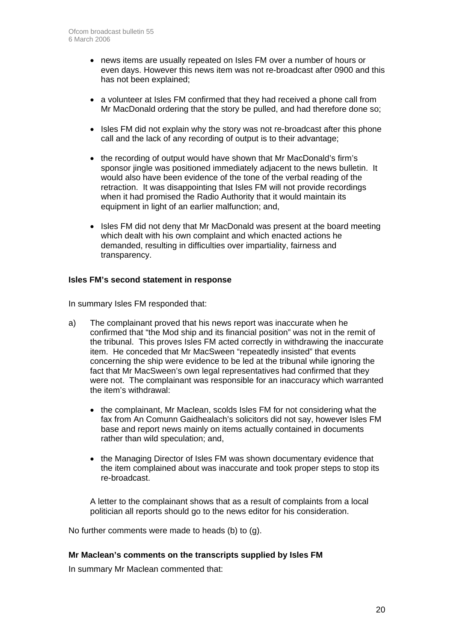- news items are usually repeated on Isles FM over a number of hours or even days. However this news item was not re-broadcast after 0900 and this has not been explained;
- a volunteer at Isles FM confirmed that they had received a phone call from Mr MacDonald ordering that the story be pulled, and had therefore done so;
- Isles FM did not explain why the story was not re-broadcast after this phone call and the lack of any recording of output is to their advantage;
- the recording of output would have shown that Mr MacDonald's firm's sponsor jingle was positioned immediately adjacent to the news bulletin. It would also have been evidence of the tone of the verbal reading of the retraction. It was disappointing that Isles FM will not provide recordings when it had promised the Radio Authority that it would maintain its equipment in light of an earlier malfunction; and,
- Isles FM did not deny that Mr MacDonald was present at the board meeting which dealt with his own complaint and which enacted actions he demanded, resulting in difficulties over impartiality, fairness and transparency.

#### **Isles FM's second statement in response**

In summary Isles FM responded that:

- a) The complainant proved that his news report was inaccurate when he confirmed that "the Mod ship and its financial position" was not in the remit of the tribunal. This proves Isles FM acted correctly in withdrawing the inaccurate item. He conceded that Mr MacSween "repeatedly insisted" that events concerning the ship were evidence to be led at the tribunal while ignoring the fact that Mr MacSween's own legal representatives had confirmed that they were not. The complainant was responsible for an inaccuracy which warranted the item's withdrawal:
	- the complainant, Mr Maclean, scolds Isles FM for not considering what the fax from An Comunn Gaidhealach's solicitors did not say, however Isles FM base and report news mainly on items actually contained in documents rather than wild speculation; and,
	- the Managing Director of Isles FM was shown documentary evidence that the item complained about was inaccurate and took proper steps to stop its re-broadcast.

A letter to the complainant shows that as a result of complaints from a local politician all reports should go to the news editor for his consideration.

No further comments were made to heads (b) to (g).

#### **Mr Maclean's comments on the transcripts supplied by Isles FM**

In summary Mr Maclean commented that: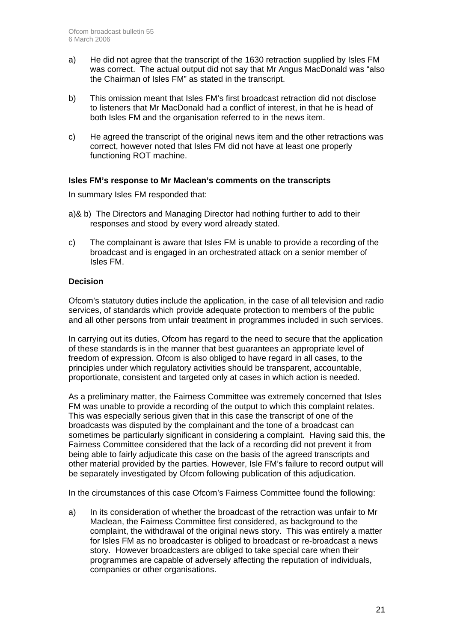- a) He did not agree that the transcript of the 1630 retraction supplied by Isles FM was correct. The actual output did not say that Mr Angus MacDonald was "also the Chairman of Isles FM" as stated in the transcript.
- b) This omission meant that Isles FM's first broadcast retraction did not disclose to listeners that Mr MacDonald had a conflict of interest, in that he is head of both Isles FM and the organisation referred to in the news item.
- c) He agreed the transcript of the original news item and the other retractions was correct, however noted that Isles FM did not have at least one properly functioning ROT machine.

#### **Isles FM's response to Mr Maclean's comments on the transcripts**

In summary Isles FM responded that:

- a)& b) The Directors and Managing Director had nothing further to add to their responses and stood by every word already stated.
- c) The complainant is aware that Isles FM is unable to provide a recording of the broadcast and is engaged in an orchestrated attack on a senior member of Isles FM.

#### **Decision**

Ofcom's statutory duties include the application, in the case of all television and radio services, of standards which provide adequate protection to members of the public and all other persons from unfair treatment in programmes included in such services.

In carrying out its duties, Ofcom has regard to the need to secure that the application of these standards is in the manner that best guarantees an appropriate level of freedom of expression. Ofcom is also obliged to have regard in all cases, to the principles under which regulatory activities should be transparent, accountable, proportionate, consistent and targeted only at cases in which action is needed.

As a preliminary matter, the Fairness Committee was extremely concerned that Isles FM was unable to provide a recording of the output to which this complaint relates. This was especially serious given that in this case the transcript of one of the broadcasts was disputed by the complainant and the tone of a broadcast can sometimes be particularly significant in considering a complaint. Having said this, the Fairness Committee considered that the lack of a recording did not prevent it from being able to fairly adjudicate this case on the basis of the agreed transcripts and other material provided by the parties. However, Isle FM's failure to record output will be separately investigated by Ofcom following publication of this adjudication.

In the circumstances of this case Ofcom's Fairness Committee found the following:

a) In its consideration of whether the broadcast of the retraction was unfair to Mr Maclean, the Fairness Committee first considered, as background to the complaint, the withdrawal of the original news story. This was entirely a matter for Isles FM as no broadcaster is obliged to broadcast or re-broadcast a news story. However broadcasters are obliged to take special care when their programmes are capable of adversely affecting the reputation of individuals, companies or other organisations.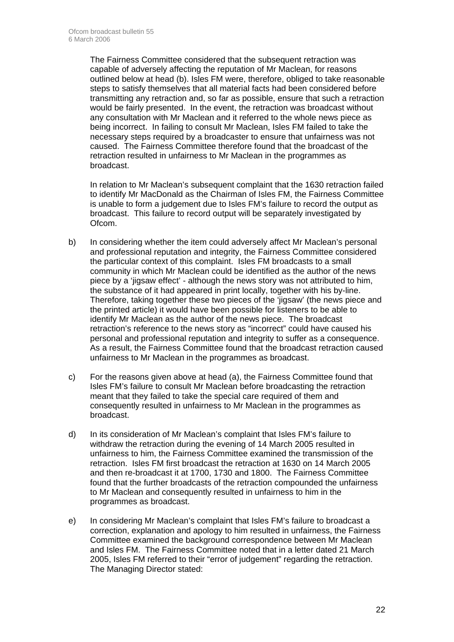The Fairness Committee considered that the subsequent retraction was capable of adversely affecting the reputation of Mr Maclean, for reasons outlined below at head (b). Isles FM were, therefore, obliged to take reasonable steps to satisfy themselves that all material facts had been considered before transmitting any retraction and, so far as possible, ensure that such a retraction would be fairly presented. In the event, the retraction was broadcast without any consultation with Mr Maclean and it referred to the whole news piece as being incorrect. In failing to consult Mr Maclean, Isles FM failed to take the necessary steps required by a broadcaster to ensure that unfairness was not caused. The Fairness Committee therefore found that the broadcast of the retraction resulted in unfairness to Mr Maclean in the programmes as broadcast.

In relation to Mr Maclean's subsequent complaint that the 1630 retraction failed to identify Mr MacDonald as the Chairman of Isles FM, the Fairness Committee is unable to form a judgement due to Isles FM's failure to record the output as broadcast. This failure to record output will be separately investigated by Ofcom.

- b) In considering whether the item could adversely affect Mr Maclean's personal and professional reputation and integrity, the Fairness Committee considered the particular context of this complaint. Isles FM broadcasts to a small community in which Mr Maclean could be identified as the author of the news piece by a 'jigsaw effect' - although the news story was not attributed to him, the substance of it had appeared in print locally, together with his by-line. Therefore, taking together these two pieces of the 'jigsaw' (the news piece and the printed article) it would have been possible for listeners to be able to identify Mr Maclean as the author of the news piece. The broadcast retraction's reference to the news story as "incorrect" could have caused his personal and professional reputation and integrity to suffer as a consequence. As a result, the Fairness Committee found that the broadcast retraction caused unfairness to Mr Maclean in the programmes as broadcast.
- c) For the reasons given above at head (a), the Fairness Committee found that Isles FM's failure to consult Mr Maclean before broadcasting the retraction meant that they failed to take the special care required of them and consequently resulted in unfairness to Mr Maclean in the programmes as broadcast.
- d) In its consideration of Mr Maclean's complaint that Isles FM's failure to withdraw the retraction during the evening of 14 March 2005 resulted in unfairness to him, the Fairness Committee examined the transmission of the retraction. Isles FM first broadcast the retraction at 1630 on 14 March 2005 and then re-broadcast it at 1700, 1730 and 1800. The Fairness Committee found that the further broadcasts of the retraction compounded the unfairness to Mr Maclean and consequently resulted in unfairness to him in the programmes as broadcast.
- e) In considering Mr Maclean's complaint that Isles FM's failure to broadcast a correction, explanation and apology to him resulted in unfairness, the Fairness Committee examined the background correspondence between Mr Maclean and Isles FM. The Fairness Committee noted that in a letter dated 21 March 2005, Isles FM referred to their "error of judgement" regarding the retraction. The Managing Director stated: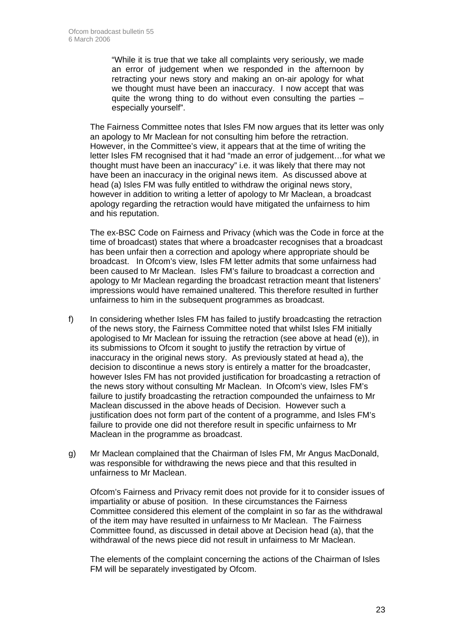"While it is true that we take all complaints very seriously, we made an error of judgement when we responded in the afternoon by retracting your news story and making an on-air apology for what we thought must have been an inaccuracy. I now accept that was quite the wrong thing to do without even consulting the parties  $$ especially yourself".

 The Fairness Committee notes that Isles FM now argues that its letter was only an apology to Mr Maclean for not consulting him before the retraction. However, in the Committee's view, it appears that at the time of writing the letter Isles FM recognised that it had "made an error of judgement…for what we thought must have been an inaccuracy" i.e. it was likely that there may not have been an inaccuracy in the original news item. As discussed above at head (a) Isles FM was fully entitled to withdraw the original news story, however in addition to writing a letter of apology to Mr Maclean, a broadcast apology regarding the retraction would have mitigated the unfairness to him and his reputation.

 The ex-BSC Code on Fairness and Privacy (which was the Code in force at the time of broadcast) states that where a broadcaster recognises that a broadcast has been unfair then a correction and apology where appropriate should be broadcast. In Ofcom's view, Isles FM letter admits that some unfairness had been caused to Mr Maclean. Isles FM's failure to broadcast a correction and apology to Mr Maclean regarding the broadcast retraction meant that listeners' impressions would have remained unaltered. This therefore resulted in further unfairness to him in the subsequent programmes as broadcast.

- f) In considering whether Isles FM has failed to justify broadcasting the retraction of the news story, the Fairness Committee noted that whilst Isles FM initially apologised to Mr Maclean for issuing the retraction (see above at head (e)), in its submissions to Ofcom it sought to justify the retraction by virtue of inaccuracy in the original news story. As previously stated at head a), the decision to discontinue a news story is entirely a matter for the broadcaster, however Isles FM has not provided justification for broadcasting a retraction of the news story without consulting Mr Maclean. In Ofcom's view, Isles FM's failure to justify broadcasting the retraction compounded the unfairness to Mr Maclean discussed in the above heads of Decision. However such a justification does not form part of the content of a programme, and Isles FM's failure to provide one did not therefore result in specific unfairness to Mr Maclean in the programme as broadcast.
- g) Mr Maclean complained that the Chairman of Isles FM, Mr Angus MacDonald, was responsible for withdrawing the news piece and that this resulted in unfairness to Mr Maclean.

Ofcom's Fairness and Privacy remit does not provide for it to consider issues of impartiality or abuse of position. In these circumstances the Fairness Committee considered this element of the complaint in so far as the withdrawal of the item may have resulted in unfairness to Mr Maclean. The Fairness Committee found, as discussed in detail above at Decision head (a), that the withdrawal of the news piece did not result in unfairness to Mr Maclean.

The elements of the complaint concerning the actions of the Chairman of Isles FM will be separately investigated by Ofcom.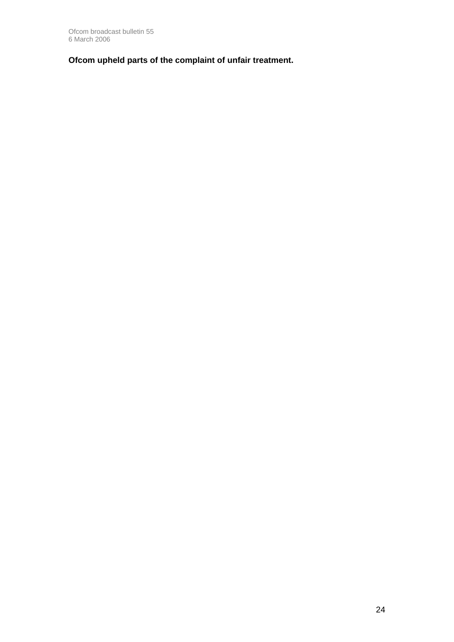**Ofcom upheld parts of the complaint of unfair treatment.**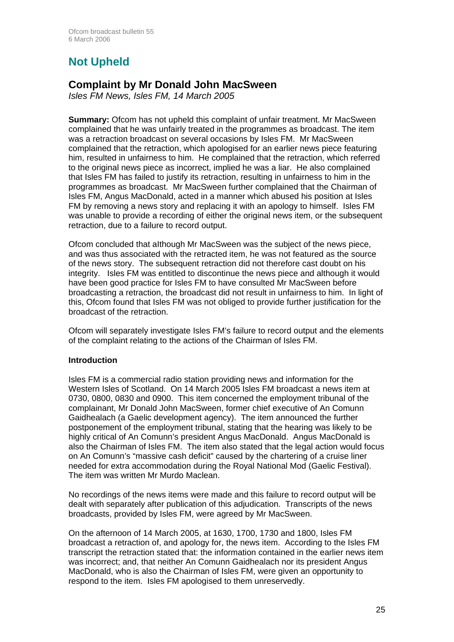# **Not Upheld**

### **Complaint by Mr Donald John MacSween**

*Isles FM News, Isles FM, 14 March 2005* 

**Summary:** Ofcom has not upheld this complaint of unfair treatment. Mr MacSween complained that he was unfairly treated in the programmes as broadcast. The item was a retraction broadcast on several occasions by Isles FM. Mr MacSween complained that the retraction, which apologised for an earlier news piece featuring him, resulted in unfairness to him. He complained that the retraction, which referred to the original news piece as incorrect, implied he was a liar. He also complained that Isles FM has failed to justify its retraction, resulting in unfairness to him in the programmes as broadcast. Mr MacSween further complained that the Chairman of Isles FM, Angus MacDonald, acted in a manner which abused his position at Isles FM by removing a news story and replacing it with an apology to himself. Isles FM was unable to provide a recording of either the original news item, or the subsequent retraction, due to a failure to record output.

Ofcom concluded that aIthough Mr MacSween was the subject of the news piece, and was thus associated with the retracted item, he was not featured as the source of the news story. The subsequent retraction did not therefore cast doubt on his integrity. Isles FM was entitled to discontinue the news piece and although it would have been good practice for Isles FM to have consulted Mr MacSween before broadcasting a retraction, the broadcast did not result in unfairness to him. In light of this, Ofcom found that Isles FM was not obliged to provide further justification for the broadcast of the retraction.

Ofcom will separately investigate Isles FM's failure to record output and the elements of the complaint relating to the actions of the Chairman of Isles FM.

#### **Introduction**

Isles FM is a commercial radio station providing news and information for the Western Isles of Scotland. On 14 March 2005 Isles FM broadcast a news item at 0730, 0800, 0830 and 0900. This item concerned the employment tribunal of the complainant, Mr Donald John MacSween, former chief executive of An Comunn Gaidhealach (a Gaelic development agency). The item announced the further postponement of the employment tribunal, stating that the hearing was likely to be highly critical of An Comunn's president Angus MacDonald. Angus MacDonald is also the Chairman of Isles FM. The item also stated that the legal action would focus on An Comunn's "massive cash deficit" caused by the chartering of a cruise liner needed for extra accommodation during the Royal National Mod (Gaelic Festival). The item was written Mr Murdo Maclean.

No recordings of the news items were made and this failure to record output will be dealt with separately after publication of this adjudication. Transcripts of the news broadcasts, provided by Isles FM, were agreed by Mr MacSween.

On the afternoon of 14 March 2005, at 1630, 1700, 1730 and 1800, Isles FM broadcast a retraction of, and apology for, the news item. According to the Isles FM transcript the retraction stated that: the information contained in the earlier news item was incorrect; and, that neither An Comunn Gaidhealach nor its president Angus MacDonald, who is also the Chairman of Isles FM, were given an opportunity to respond to the item. Isles FM apologised to them unreservedly.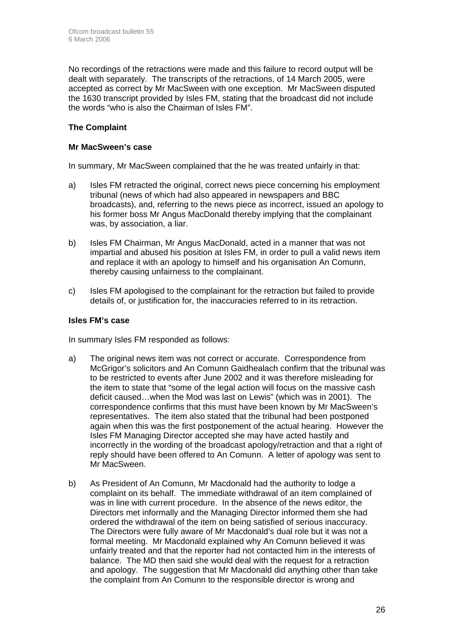No recordings of the retractions were made and this failure to record output will be dealt with separately. The transcripts of the retractions, of 14 March 2005, were accepted as correct by Mr MacSween with one exception. Mr MacSween disputed the 1630 transcript provided by Isles FM, stating that the broadcast did not include the words "who is also the Chairman of Isles FM".

#### **The Complaint**

#### **Mr MacSween's case**

In summary, Mr MacSween complained that the he was treated unfairly in that:

- a) Isles FM retracted the original, correct news piece concerning his employment tribunal (news of which had also appeared in newspapers and BBC broadcasts), and, referring to the news piece as incorrect, issued an apology to his former boss Mr Angus MacDonald thereby implying that the complainant was, by association, a liar.
- b) Isles FM Chairman, Mr Angus MacDonald, acted in a manner that was not impartial and abused his position at Isles FM, in order to pull a valid news item and replace it with an apology to himself and his organisation An Comunn, thereby causing unfairness to the complainant.
- c) Isles FM apologised to the complainant for the retraction but failed to provide details of, or justification for, the inaccuracies referred to in its retraction.

#### **Isles FM's case**

In summary Isles FM responded as follows:

- a) The original news item was not correct or accurate. Correspondence from McGrigor's solicitors and An Comunn Gaidhealach confirm that the tribunal was to be restricted to events after June 2002 and it was therefore misleading for the item to state that "some of the legal action will focus on the massive cash deficit caused…when the Mod was last on Lewis" (which was in 2001). The correspondence confirms that this must have been known by Mr MacSween's representatives. The item also stated that the tribunal had been postponed again when this was the first postponement of the actual hearing. However the Isles FM Managing Director accepted she may have acted hastily and incorrectly in the wording of the broadcast apology/retraction and that a right of reply should have been offered to An Comunn. A letter of apology was sent to Mr MacSween.
- b) As President of An Comunn, Mr Macdonald had the authority to lodge a complaint on its behalf. The immediate withdrawal of an item complained of was in line with current procedure. In the absence of the news editor, the Directors met informally and the Managing Director informed them she had ordered the withdrawal of the item on being satisfied of serious inaccuracy. The Directors were fully aware of Mr Macdonald's dual role but it was not a formal meeting. Mr Macdonald explained why An Comunn believed it was unfairly treated and that the reporter had not contacted him in the interests of balance. The MD then said she would deal with the request for a retraction and apology. The suggestion that Mr Macdonald did anything other than take the complaint from An Comunn to the responsible director is wrong and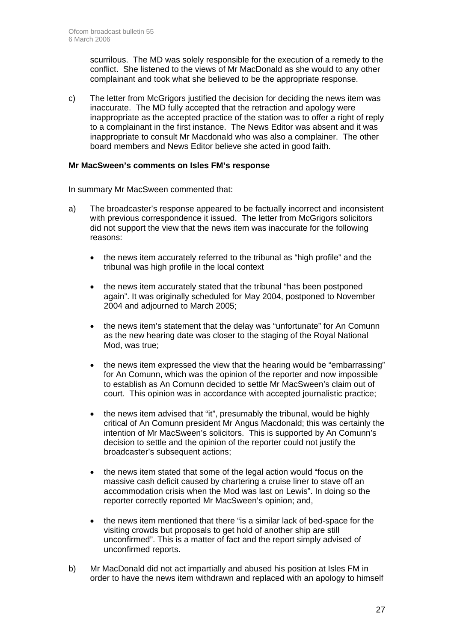scurrilous. The MD was solely responsible for the execution of a remedy to the conflict. She listened to the views of Mr MacDonald as she would to any other complainant and took what she believed to be the appropriate response.

c) The letter from McGrigors justified the decision for deciding the news item was inaccurate. The MD fully accepted that the retraction and apology were inappropriate as the accepted practice of the station was to offer a right of reply to a complainant in the first instance. The News Editor was absent and it was inappropriate to consult Mr Macdonald who was also a complainer. The other board members and News Editor believe she acted in good faith.

#### **Mr MacSween's comments on Isles FM's response**

In summary Mr MacSween commented that:

- a) The broadcaster's response appeared to be factually incorrect and inconsistent with previous correspondence it issued. The letter from McGrigors solicitors did not support the view that the news item was inaccurate for the following reasons:
	- the news item accurately referred to the tribunal as "high profile" and the tribunal was high profile in the local context
	- the news item accurately stated that the tribunal "has been postponed again". It was originally scheduled for May 2004, postponed to November 2004 and adjourned to March 2005;
	- the news item's statement that the delay was "unfortunate" for An Comunn as the new hearing date was closer to the staging of the Royal National Mod, was true;
	- the news item expressed the view that the hearing would be "embarrassing" for An Comunn, which was the opinion of the reporter and now impossible to establish as An Comunn decided to settle Mr MacSween's claim out of court. This opinion was in accordance with accepted journalistic practice;
	- the news item advised that "it", presumably the tribunal, would be highly critical of An Comunn president Mr Angus Macdonald; this was certainly the intention of Mr MacSween's solicitors. This is supported by An Comunn's decision to settle and the opinion of the reporter could not justify the broadcaster's subsequent actions;
	- the news item stated that some of the legal action would "focus on the massive cash deficit caused by chartering a cruise liner to stave off an accommodation crisis when the Mod was last on Lewis". In doing so the reporter correctly reported Mr MacSween's opinion; and,
	- the news item mentioned that there "is a similar lack of bed-space for the visiting crowds but proposals to get hold of another ship are still unconfirmed". This is a matter of fact and the report simply advised of unconfirmed reports.
- b) Mr MacDonald did not act impartially and abused his position at Isles FM in order to have the news item withdrawn and replaced with an apology to himself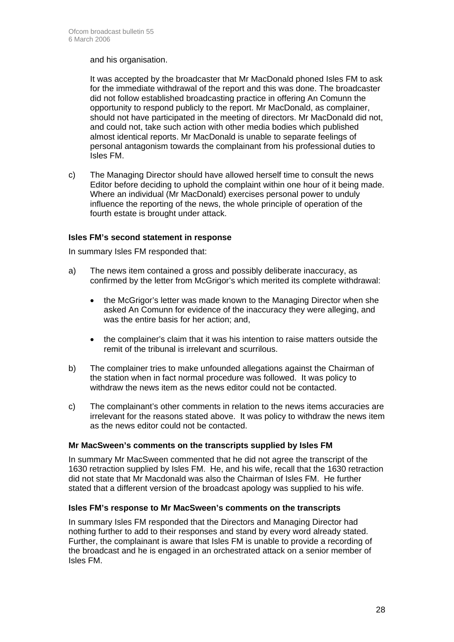#### and his organisation.

It was accepted by the broadcaster that Mr MacDonald phoned Isles FM to ask for the immediate withdrawal of the report and this was done. The broadcaster did not follow established broadcasting practice in offering An Comunn the opportunity to respond publicly to the report. Mr MacDonald, as complainer, should not have participated in the meeting of directors. Mr MacDonald did not, and could not, take such action with other media bodies which published almost identical reports. Mr MacDonald is unable to separate feelings of personal antagonism towards the complainant from his professional duties to Isles FM.

c) The Managing Director should have allowed herself time to consult the news Editor before deciding to uphold the complaint within one hour of it being made. Where an individual (Mr MacDonald) exercises personal power to unduly influence the reporting of the news, the whole principle of operation of the fourth estate is brought under attack.

#### **Isles FM's second statement in response**

In summary Isles FM responded that:

- a) The news item contained a gross and possibly deliberate inaccuracy, as confirmed by the letter from McGrigor's which merited its complete withdrawal:
	- the McGrigor's letter was made known to the Managing Director when she asked An Comunn for evidence of the inaccuracy they were alleging, and was the entire basis for her action; and,
	- the complainer's claim that it was his intention to raise matters outside the remit of the tribunal is irrelevant and scurrilous.
- b) The complainer tries to make unfounded allegations against the Chairman of the station when in fact normal procedure was followed. It was policy to withdraw the news item as the news editor could not be contacted.
- c) The complainant's other comments in relation to the news items accuracies are irrelevant for the reasons stated above. It was policy to withdraw the news item as the news editor could not be contacted.

#### **Mr MacSween's comments on the transcripts supplied by Isles FM**

In summary Mr MacSween commented that he did not agree the transcript of the 1630 retraction supplied by Isles FM. He, and his wife, recall that the 1630 retraction did not state that Mr Macdonald was also the Chairman of Isles FM. He further stated that a different version of the broadcast apology was supplied to his wife.

#### **Isles FM's response to Mr MacSween's comments on the transcripts**

In summary Isles FM responded that the Directors and Managing Director had nothing further to add to their responses and stand by every word already stated. Further, the complainant is aware that Isles FM is unable to provide a recording of the broadcast and he is engaged in an orchestrated attack on a senior member of Isles FM.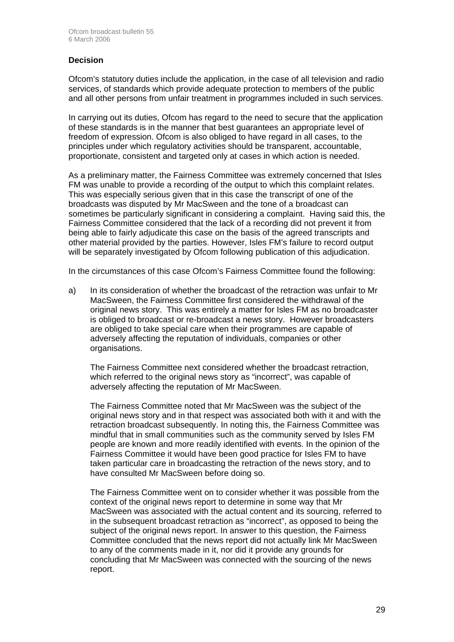#### **Decision**

Ofcom's statutory duties include the application, in the case of all television and radio services, of standards which provide adequate protection to members of the public and all other persons from unfair treatment in programmes included in such services.

In carrying out its duties, Ofcom has regard to the need to secure that the application of these standards is in the manner that best guarantees an appropriate level of freedom of expression. Ofcom is also obliged to have regard in all cases, to the principles under which regulatory activities should be transparent, accountable, proportionate, consistent and targeted only at cases in which action is needed.

As a preliminary matter, the Fairness Committee was extremely concerned that Isles FM was unable to provide a recording of the output to which this complaint relates. This was especially serious given that in this case the transcript of one of the broadcasts was disputed by Mr MacSween and the tone of a broadcast can sometimes be particularly significant in considering a complaint. Having said this, the Fairness Committee considered that the lack of a recording did not prevent it from being able to fairly adjudicate this case on the basis of the agreed transcripts and other material provided by the parties. However, Isles FM's failure to record output will be separately investigated by Ofcom following publication of this adjudication.

In the circumstances of this case Ofcom's Fairness Committee found the following:

a) In its consideration of whether the broadcast of the retraction was unfair to Mr MacSween, the Fairness Committee first considered the withdrawal of the original news story. This was entirely a matter for Isles FM as no broadcaster is obliged to broadcast or re-broadcast a news story. However broadcasters are obliged to take special care when their programmes are capable of adversely affecting the reputation of individuals, companies or other organisations.

The Fairness Committee next considered whether the broadcast retraction, which referred to the original news story as "incorrect", was capable of adversely affecting the reputation of Mr MacSween.

The Fairness Committee noted that Mr MacSween was the subject of the original news story and in that respect was associated both with it and with the retraction broadcast subsequently. In noting this, the Fairness Committee was mindful that in small communities such as the community served by Isles FM people are known and more readily identified with events. In the opinion of the Fairness Committee it would have been good practice for Isles FM to have taken particular care in broadcasting the retraction of the news story, and to have consulted Mr MacSween before doing so.

The Fairness Committee went on to consider whether it was possible from the context of the original news report to determine in some way that Mr MacSween was associated with the actual content and its sourcing, referred to in the subsequent broadcast retraction as "incorrect", as opposed to being the subject of the original news report. In answer to this question, the Fairness Committee concluded that the news report did not actually link Mr MacSween to any of the comments made in it, nor did it provide any grounds for concluding that Mr MacSween was connected with the sourcing of the news report.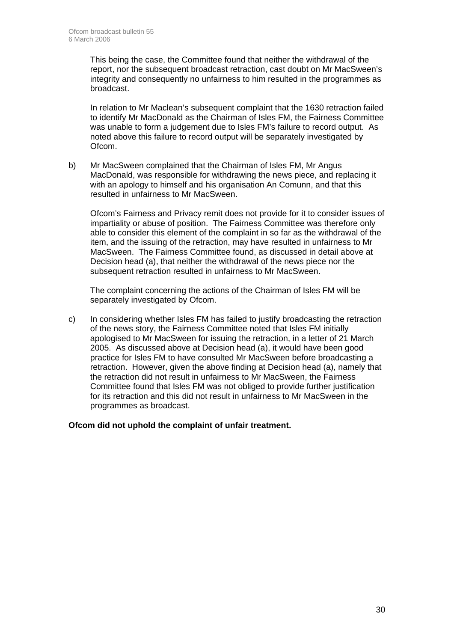This being the case, the Committee found that neither the withdrawal of the report, nor the subsequent broadcast retraction, cast doubt on Mr MacSween's integrity and consequently no unfairness to him resulted in the programmes as broadcast.

In relation to Mr Maclean's subsequent complaint that the 1630 retraction failed to identify Mr MacDonald as the Chairman of Isles FM, the Fairness Committee was unable to form a judgement due to Isles FM's failure to record output. As noted above this failure to record output will be separately investigated by Ofcom.

b) Mr MacSween complained that the Chairman of Isles FM, Mr Angus MacDonald, was responsible for withdrawing the news piece, and replacing it with an apology to himself and his organisation An Comunn, and that this resulted in unfairness to Mr MacSween.

Ofcom's Fairness and Privacy remit does not provide for it to consider issues of impartiality or abuse of position. The Fairness Committee was therefore only able to consider this element of the complaint in so far as the withdrawal of the item, and the issuing of the retraction, may have resulted in unfairness to Mr MacSween. The Fairness Committee found, as discussed in detail above at Decision head (a), that neither the withdrawal of the news piece nor the subsequent retraction resulted in unfairness to Mr MacSween.

The complaint concerning the actions of the Chairman of Isles FM will be separately investigated by Ofcom.

c) In considering whether Isles FM has failed to justify broadcasting the retraction of the news story, the Fairness Committee noted that Isles FM initially apologised to Mr MacSween for issuing the retraction, in a letter of 21 March 2005. As discussed above at Decision head (a), it would have been good practice for Isles FM to have consulted Mr MacSween before broadcasting a retraction. However, given the above finding at Decision head (a), namely that the retraction did not result in unfairness to Mr MacSween, the Fairness Committee found that Isles FM was not obliged to provide further justification for its retraction and this did not result in unfairness to Mr MacSween in the programmes as broadcast.

**Ofcom did not uphold the complaint of unfair treatment.**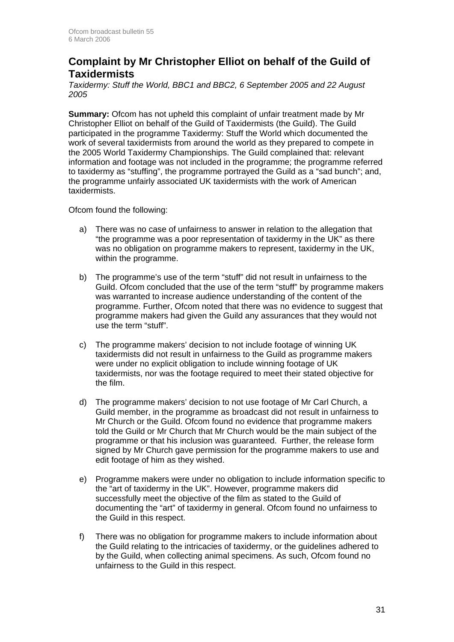### **Complaint by Mr Christopher Elliot on behalf of the Guild of Taxidermists**

*Taxidermy: Stuff the World, BBC1 and BBC2, 6 September 2005 and 22 August 2005* 

**Summary:** Ofcom has not upheld this complaint of unfair treatment made by Mr Christopher Elliot on behalf of the Guild of Taxidermists (the Guild). The Guild participated in the programme Taxidermy: Stuff the World which documented the work of several taxidermists from around the world as they prepared to compete in the 2005 World Taxidermy Championships. The Guild complained that: relevant information and footage was not included in the programme; the programme referred to taxidermy as "stuffing", the programme portrayed the Guild as a "sad bunch"; and, the programme unfairly associated UK taxidermists with the work of American taxidermists.

Ofcom found the following:

- a) There was no case of unfairness to answer in relation to the allegation that "the programme was a poor representation of taxidermy in the UK" as there was no obligation on programme makers to represent, taxidermy in the UK, within the programme.
- b) The programme's use of the term "stuff" did not result in unfairness to the Guild. Ofcom concluded that the use of the term "stuff" by programme makers was warranted to increase audience understanding of the content of the programme. Further, Ofcom noted that there was no evidence to suggest that programme makers had given the Guild any assurances that they would not use the term "stuff".
- c) The programme makers' decision to not include footage of winning UK taxidermists did not result in unfairness to the Guild as programme makers were under no explicit obligation to include winning footage of UK taxidermists, nor was the footage required to meet their stated objective for the film.
- d) The programme makers' decision to not use footage of Mr Carl Church, a Guild member, in the programme as broadcast did not result in unfairness to Mr Church or the Guild. Ofcom found no evidence that programme makers told the Guild or Mr Church that Mr Church would be the main subject of the programme or that his inclusion was guaranteed. Further, the release form signed by Mr Church gave permission for the programme makers to use and edit footage of him as they wished.
- e) Programme makers were under no obligation to include information specific to the "art of taxidermy in the UK". However, programme makers did successfully meet the objective of the film as stated to the Guild of documenting the "art" of taxidermy in general. Ofcom found no unfairness to the Guild in this respect.
- f) There was no obligation for programme makers to include information about the Guild relating to the intricacies of taxidermy, or the guidelines adhered to by the Guild, when collecting animal specimens. As such, Ofcom found no unfairness to the Guild in this respect.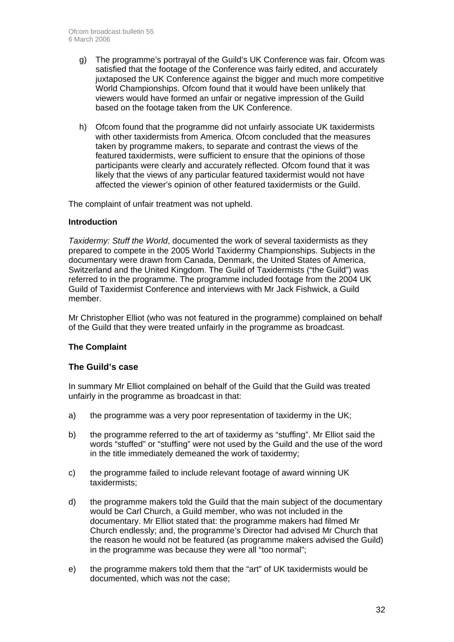- g) The programme's portrayal of the Guild's UK Conference was fair. Ofcom was satisfied that the footage of the Conference was fairly edited, and accurately juxtaposed the UK Conference against the bigger and much more competitive World Championships. Ofcom found that it would have been unlikely that viewers would have formed an unfair or negative impression of the Guild based on the footage taken from the UK Conference.
- h) Ofcom found that the programme did not unfairly associate UK taxidermists with other taxidermists from America. Ofcom concluded that the measures taken by programme makers, to separate and contrast the views of the featured taxidermists, were sufficient to ensure that the opinions of those participants were clearly and accurately reflected. Ofcom found that it was likely that the views of any particular featured taxidermist would not have affected the viewer's opinion of other featured taxidermists or the Guild.

The complaint of unfair treatment was not upheld.

#### **Introduction**

*Taxidermy: Stuff the World*, documented the work of several taxidermists as they prepared to compete in the 2005 World Taxidermy Championships. Subjects in the documentary were drawn from Canada, Denmark, the United States of America, Switzerland and the United Kingdom. The Guild of Taxidermists ("the Guild") was referred to in the programme. The programme included footage from the 2004 UK Guild of Taxidermist Conference and interviews with Mr Jack Fishwick, a Guild member.

Mr Christopher Elliot (who was not featured in the programme) complained on behalf of the Guild that they were treated unfairly in the programme as broadcast.

#### **The Complaint**

#### **The Guild's case**

In summary Mr Elliot complained on behalf of the Guild that the Guild was treated unfairly in the programme as broadcast in that:

- a) the programme was a very poor representation of taxidermy in the UK;
- b) the programme referred to the art of taxidermy as "stuffing". Mr Elliot said the words "stuffed" or "stuffing" were not used by the Guild and the use of the word in the title immediately demeaned the work of taxidermy;
- c) the programme failed to include relevant footage of award winning UK taxidermists;
- d) the programme makers told the Guild that the main subject of the documentary would be Carl Church, a Guild member, who was not included in the documentary. Mr Elliot stated that: the programme makers had filmed Mr Church endlessly; and, the programme's Director had advised Mr Church that the reason he would not be featured (as programme makers advised the Guild) in the programme was because they were all "too normal";
- e) the programme makers told them that the "art" of UK taxidermists would be documented, which was not the case;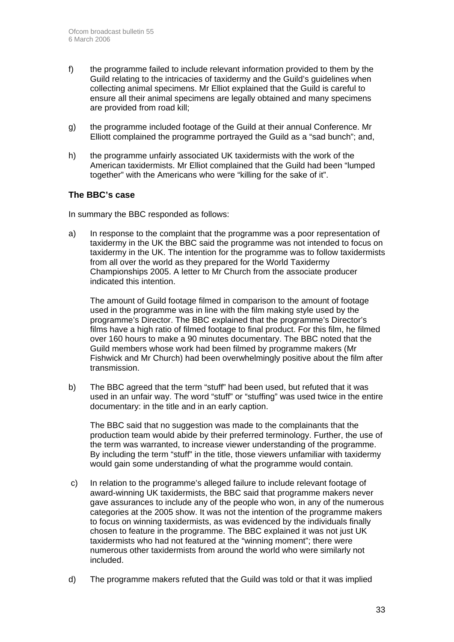- f) the programme failed to include relevant information provided to them by the Guild relating to the intricacies of taxidermy and the Guild's guidelines when collecting animal specimens. Mr Elliot explained that the Guild is careful to ensure all their animal specimens are legally obtained and many specimens are provided from road kill;
- g) the programme included footage of the Guild at their annual Conference. Mr Elliott complained the programme portrayed the Guild as a "sad bunch"; and,
- h) the programme unfairly associated UK taxidermists with the work of the American taxidermists. Mr Elliot complained that the Guild had been "lumped together" with the Americans who were "killing for the sake of it".

#### **The BBC's case**

In summary the BBC responded as follows:

a) In response to the complaint that the programme was a poor representation of taxidermy in the UK the BBC said the programme was not intended to focus on taxidermy in the UK. The intention for the programme was to follow taxidermists from all over the world as they prepared for the World Taxidermy Championships 2005. A letter to Mr Church from the associate producer indicated this intention.

 The amount of Guild footage filmed in comparison to the amount of footage used in the programme was in line with the film making style used by the programme's Director. The BBC explained that the programme's Director's films have a high ratio of filmed footage to final product. For this film, he filmed over 160 hours to make a 90 minutes documentary. The BBC noted that the Guild members whose work had been filmed by programme makers (Mr Fishwick and Mr Church) had been overwhelmingly positive about the film after transmission.

b) The BBC agreed that the term "stuff" had been used, but refuted that it was used in an unfair way. The word "stuff" or "stuffing" was used twice in the entire documentary: in the title and in an early caption.

 The BBC said that no suggestion was made to the complainants that the production team would abide by their preferred terminology. Further, the use of the term was warranted, to increase viewer understanding of the programme. By including the term "stuff" in the title, those viewers unfamiliar with taxidermy would gain some understanding of what the programme would contain.

- c) In relation to the programme's alleged failure to include relevant footage of award-winning UK taxidermists, the BBC said that programme makers never gave assurances to include any of the people who won, in any of the numerous categories at the 2005 show. It was not the intention of the programme makers to focus on winning taxidermists, as was evidenced by the individuals finally chosen to feature in the programme. The BBC explained it was not just UK taxidermists who had not featured at the "winning moment"; there were numerous other taxidermists from around the world who were similarly not included.
- d) The programme makers refuted that the Guild was told or that it was implied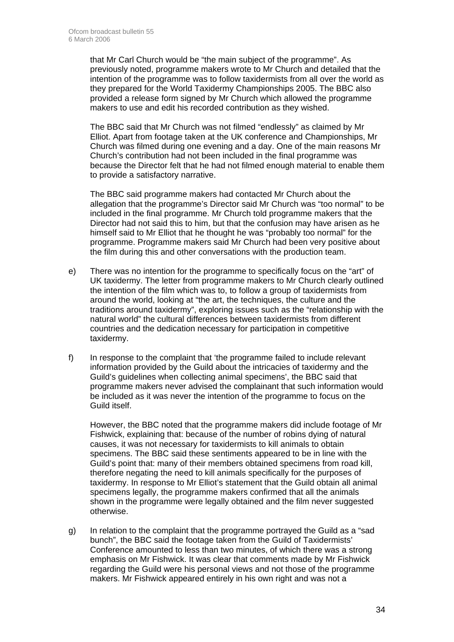that Mr Carl Church would be "the main subject of the programme". As previously noted, programme makers wrote to Mr Church and detailed that the intention of the programme was to follow taxidermists from all over the world as they prepared for the World Taxidermy Championships 2005. The BBC also provided a release form signed by Mr Church which allowed the programme makers to use and edit his recorded contribution as they wished.

 The BBC said that Mr Church was not filmed "endlessly" as claimed by Mr Elliot. Apart from footage taken at the UK conference and Championships, Mr Church was filmed during one evening and a day. One of the main reasons Mr Church's contribution had not been included in the final programme was because the Director felt that he had not filmed enough material to enable them to provide a satisfactory narrative.

 The BBC said programme makers had contacted Mr Church about the allegation that the programme's Director said Mr Church was "too normal" to be included in the final programme. Mr Church told programme makers that the Director had not said this to him, but that the confusion may have arisen as he himself said to Mr Elliot that he thought he was "probably too normal" for the programme. Programme makers said Mr Church had been very positive about the film during this and other conversations with the production team.

- e) There was no intention for the programme to specifically focus on the "art" of UK taxidermy. The letter from programme makers to Mr Church clearly outlined the intention of the film which was to, to follow a group of taxidermists from around the world, looking at "the art, the techniques, the culture and the traditions around taxidermy", exploring issues such as the "relationship with the natural world" the cultural differences between taxidermists from different countries and the dedication necessary for participation in competitive taxidermy.
- f) In response to the complaint that 'the programme failed to include relevant information provided by the Guild about the intricacies of taxidermy and the Guild's guidelines when collecting animal specimens', the BBC said that programme makers never advised the complainant that such information would be included as it was never the intention of the programme to focus on the Guild itself.

 However, the BBC noted that the programme makers did include footage of Mr Fishwick, explaining that: because of the number of robins dying of natural causes, it was not necessary for taxidermists to kill animals to obtain specimens. The BBC said these sentiments appeared to be in line with the Guild's point that: many of their members obtained specimens from road kill, therefore negating the need to kill animals specifically for the purposes of taxidermy. In response to Mr Elliot's statement that the Guild obtain all animal specimens legally, the programme makers confirmed that all the animals shown in the programme were legally obtained and the film never suggested otherwise.

g) In relation to the complaint that the programme portrayed the Guild as a "sad bunch", the BBC said the footage taken from the Guild of Taxidermists' Conference amounted to less than two minutes, of which there was a strong emphasis on Mr Fishwick. It was clear that comments made by Mr Fishwick regarding the Guild were his personal views and not those of the programme makers. Mr Fishwick appeared entirely in his own right and was not a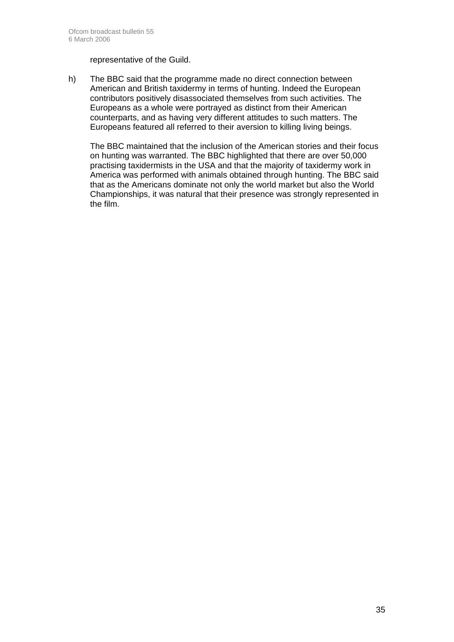representative of the Guild.

h) The BBC said that the programme made no direct connection between American and British taxidermy in terms of hunting. Indeed the European contributors positively disassociated themselves from such activities. The Europeans as a whole were portrayed as distinct from their American counterparts, and as having very different attitudes to such matters. The Europeans featured all referred to their aversion to killing living beings.

 The BBC maintained that the inclusion of the American stories and their focus on hunting was warranted. The BBC highlighted that there are over 50,000 practising taxidermists in the USA and that the majority of taxidermy work in America was performed with animals obtained through hunting. The BBC said that as the Americans dominate not only the world market but also the World Championships, it was natural that their presence was strongly represented in the film.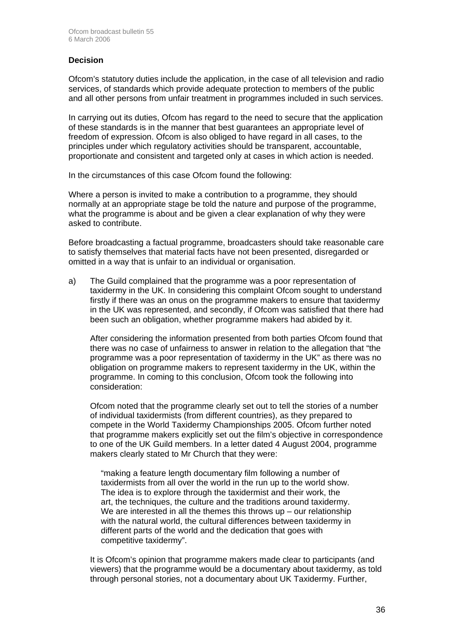#### **Decision**

Ofcom's statutory duties include the application, in the case of all television and radio services, of standards which provide adequate protection to members of the public and all other persons from unfair treatment in programmes included in such services.

In carrying out its duties, Ofcom has regard to the need to secure that the application of these standards is in the manner that best guarantees an appropriate level of freedom of expression. Ofcom is also obliged to have regard in all cases, to the principles under which regulatory activities should be transparent, accountable, proportionate and consistent and targeted only at cases in which action is needed.

In the circumstances of this case Ofcom found the following:

Where a person is invited to make a contribution to a programme, they should normally at an appropriate stage be told the nature and purpose of the programme, what the programme is about and be given a clear explanation of why they were asked to contribute.

Before broadcasting a factual programme, broadcasters should take reasonable care to satisfy themselves that material facts have not been presented, disregarded or omitted in a way that is unfair to an individual or organisation.

a) The Guild complained that the programme was a poor representation of taxidermy in the UK. In considering this complaint Ofcom sought to understand firstly if there was an onus on the programme makers to ensure that taxidermy in the UK was represented, and secondly, if Ofcom was satisfied that there had been such an obligation, whether programme makers had abided by it.

 After considering the information presented from both parties Ofcom found that there was no case of unfairness to answer in relation to the allegation that "the programme was a poor representation of taxidermy in the UK" as there was no obligation on programme makers to represent taxidermy in the UK, within the programme. In coming to this conclusion, Ofcom took the following into consideration:

 Ofcom noted that the programme clearly set out to tell the stories of a number of individual taxidermists (from different countries), as they prepared to compete in the World Taxidermy Championships 2005. Ofcom further noted that programme makers explicitly set out the film's objective in correspondence to one of the UK Guild members. In a letter dated 4 August 2004, programme makers clearly stated to Mr Church that they were:

 "making a feature length documentary film following a number of taxidermists from all over the world in the run up to the world show. The idea is to explore through the taxidermist and their work, the art, the techniques, the culture and the traditions around taxidermy. We are interested in all the themes this throws  $up$  – our relationship with the natural world, the cultural differences between taxidermy in different parts of the world and the dedication that goes with competitive taxidermy".

 It is Ofcom's opinion that programme makers made clear to participants (and viewers) that the programme would be a documentary about taxidermy, as told through personal stories, not a documentary about UK Taxidermy. Further,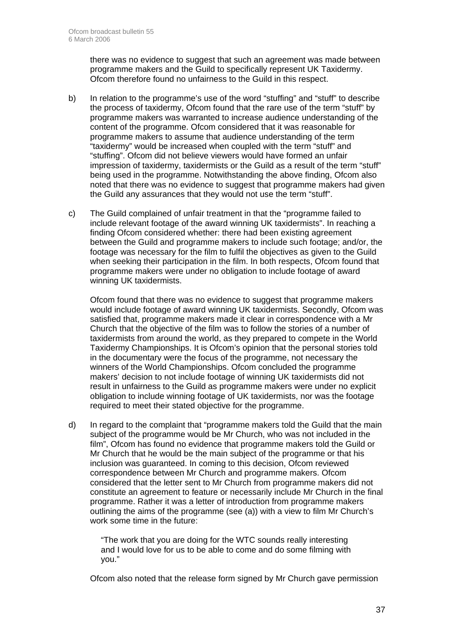there was no evidence to suggest that such an agreement was made between programme makers and the Guild to specifically represent UK Taxidermy. Ofcom therefore found no unfairness to the Guild in this respect.

- b) In relation to the programme's use of the word "stuffing" and "stuff" to describe the process of taxidermy, Ofcom found that the rare use of the term "stuff" by programme makers was warranted to increase audience understanding of the content of the programme. Ofcom considered that it was reasonable for programme makers to assume that audience understanding of the term "taxidermy" would be increased when coupled with the term "stuff" and "stuffing". Ofcom did not believe viewers would have formed an unfair impression of taxidermy, taxidermists or the Guild as a result of the term "stuff" being used in the programme. Notwithstanding the above finding, Ofcom also noted that there was no evidence to suggest that programme makers had given the Guild any assurances that they would not use the term "stuff".
- c) The Guild complained of unfair treatment in that the "programme failed to include relevant footage of the award winning UK taxidermists". In reaching a finding Ofcom considered whether: there had been existing agreement between the Guild and programme makers to include such footage; and/or, the footage was necessary for the film to fulfil the objectives as given to the Guild when seeking their participation in the film. In both respects, Ofcom found that programme makers were under no obligation to include footage of award winning UK taxidermists.

 Ofcom found that there was no evidence to suggest that programme makers would include footage of award winning UK taxidermists. Secondly, Ofcom was satisfied that, programme makers made it clear in correspondence with a Mr Church that the objective of the film was to follow the stories of a number of taxidermists from around the world, as they prepared to compete in the World Taxidermy Championships. It is Ofcom's opinion that the personal stories told in the documentary were the focus of the programme, not necessary the winners of the World Championships. Ofcom concluded the programme makers' decision to not include footage of winning UK taxidermists did not result in unfairness to the Guild as programme makers were under no explicit obligation to include winning footage of UK taxidermists, nor was the footage required to meet their stated objective for the programme.

d) In regard to the complaint that "programme makers told the Guild that the main subject of the programme would be Mr Church, who was not included in the film", Ofcom has found no evidence that programme makers told the Guild or Mr Church that he would be the main subject of the programme or that his inclusion was guaranteed. In coming to this decision, Ofcom reviewed correspondence between Mr Church and programme makers. Ofcom considered that the letter sent to Mr Church from programme makers did not constitute an agreement to feature or necessarily include Mr Church in the final programme. Rather it was a letter of introduction from programme makers outlining the aims of the programme (see (a)) with a view to film Mr Church's work some time in the future:

> "The work that you are doing for the WTC sounds really interesting and I would love for us to be able to come and do some filming with you."

Ofcom also noted that the release form signed by Mr Church gave permission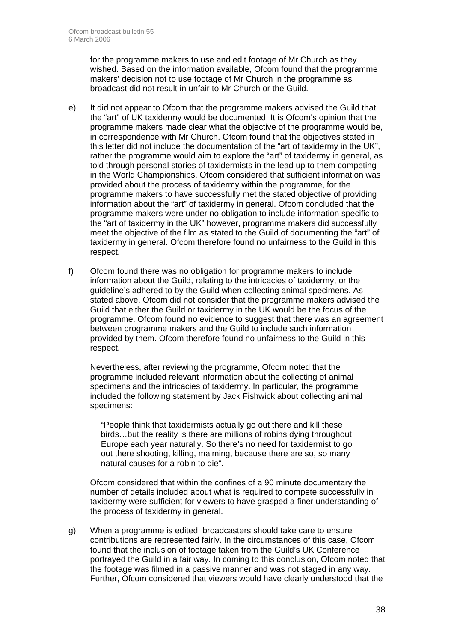for the programme makers to use and edit footage of Mr Church as they wished. Based on the information available, Ofcom found that the programme makers' decision not to use footage of Mr Church in the programme as broadcast did not result in unfair to Mr Church or the Guild.

- e) It did not appear to Ofcom that the programme makers advised the Guild that the "art" of UK taxidermy would be documented. It is Ofcom's opinion that the programme makers made clear what the objective of the programme would be, in correspondence with Mr Church. Ofcom found that the objectives stated in this letter did not include the documentation of the "art of taxidermy in the UK", rather the programme would aim to explore the "art" of taxidermy in general, as told through personal stories of taxidermists in the lead up to them competing in the World Championships. Ofcom considered that sufficient information was provided about the process of taxidermy within the programme, for the programme makers to have successfully met the stated objective of providing information about the "art" of taxidermy in general. Ofcom concluded that the programme makers were under no obligation to include information specific to the "art of taxidermy in the UK" however, programme makers did successfully meet the objective of the film as stated to the Guild of documenting the "art" of taxidermy in general. Ofcom therefore found no unfairness to the Guild in this respect.
- f) Ofcom found there was no obligation for programme makers to include information about the Guild, relating to the intricacies of taxidermy, or the guideline's adhered to by the Guild when collecting animal specimens. As stated above, Ofcom did not consider that the programme makers advised the Guild that either the Guild or taxidermy in the UK would be the focus of the programme. Ofcom found no evidence to suggest that there was an agreement between programme makers and the Guild to include such information provided by them. Ofcom therefore found no unfairness to the Guild in this respect.

 Nevertheless, after reviewing the programme, Ofcom noted that the programme included relevant information about the collecting of animal specimens and the intricacies of taxidermy. In particular, the programme included the following statement by Jack Fishwick about collecting animal specimens:

 "People think that taxidermists actually go out there and kill these birds…but the reality is there are millions of robins dying throughout Europe each year naturally. So there's no need for taxidermist to go out there shooting, killing, maiming, because there are so, so many natural causes for a robin to die".

 Ofcom considered that within the confines of a 90 minute documentary the number of details included about what is required to compete successfully in taxidermy were sufficient for viewers to have grasped a finer understanding of the process of taxidermy in general.

g) When a programme is edited, broadcasters should take care to ensure contributions are represented fairly. In the circumstances of this case, Ofcom found that the inclusion of footage taken from the Guild's UK Conference portrayed the Guild in a fair way. In coming to this conclusion, Ofcom noted that the footage was filmed in a passive manner and was not staged in any way. Further, Ofcom considered that viewers would have clearly understood that the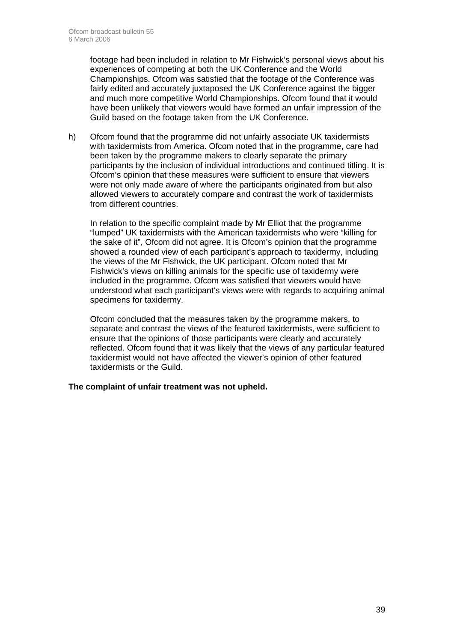footage had been included in relation to Mr Fishwick's personal views about his experiences of competing at both the UK Conference and the World Championships. Ofcom was satisfied that the footage of the Conference was fairly edited and accurately juxtaposed the UK Conference against the bigger and much more competitive World Championships. Ofcom found that it would have been unlikely that viewers would have formed an unfair impression of the Guild based on the footage taken from the UK Conference.

h) Ofcom found that the programme did not unfairly associate UK taxidermists with taxidermists from America. Ofcom noted that in the programme, care had been taken by the programme makers to clearly separate the primary participants by the inclusion of individual introductions and continued titling. It is Ofcom's opinion that these measures were sufficient to ensure that viewers were not only made aware of where the participants originated from but also allowed viewers to accurately compare and contrast the work of taxidermists from different countries.

 In relation to the specific complaint made by Mr Elliot that the programme "lumped" UK taxidermists with the American taxidermists who were "killing for the sake of it", Ofcom did not agree. It is Ofcom's opinion that the programme showed a rounded view of each participant's approach to taxidermy, including the views of the Mr Fishwick, the UK participant. Ofcom noted that Mr Fishwick's views on killing animals for the specific use of taxidermy were included in the programme. Ofcom was satisfied that viewers would have understood what each participant's views were with regards to acquiring animal specimens for taxidermy.

 Ofcom concluded that the measures taken by the programme makers, to separate and contrast the views of the featured taxidermists, were sufficient to ensure that the opinions of those participants were clearly and accurately reflected. Ofcom found that it was likely that the views of any particular featured taxidermist would not have affected the viewer's opinion of other featured taxidermists or the Guild.

#### **The complaint of unfair treatment was not upheld.**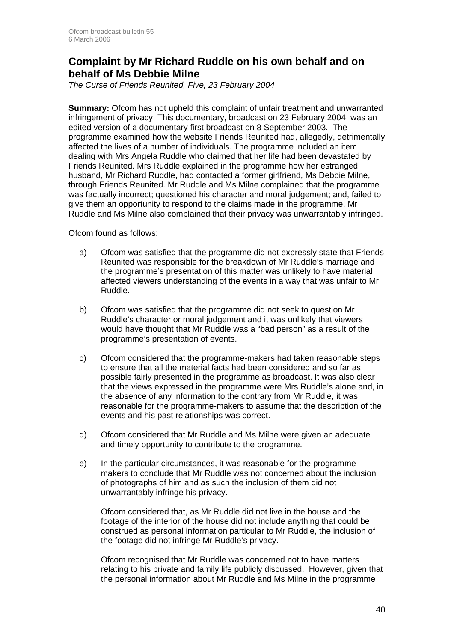### **Complaint by Mr Richard Ruddle on his own behalf and on behalf of Ms Debbie Milne**

*The Curse of Friends Reunited, Five, 23 February 2004* 

**Summary:** Ofcom has not upheld this complaint of unfair treatment and unwarranted infringement of privacy. This documentary, broadcast on 23 February 2004, was an edited version of a documentary first broadcast on 8 September 2003. The programme examined how the website Friends Reunited had, allegedly, detrimentally affected the lives of a number of individuals. The programme included an item dealing with Mrs Angela Ruddle who claimed that her life had been devastated by Friends Reunited. Mrs Ruddle explained in the programme how her estranged husband, Mr Richard Ruddle, had contacted a former girlfriend, Ms Debbie Milne, through Friends Reunited. Mr Ruddle and Ms Milne complained that the programme was factually incorrect; questioned his character and moral judgement; and, failed to give them an opportunity to respond to the claims made in the programme. Mr Ruddle and Ms Milne also complained that their privacy was unwarrantably infringed.

Ofcom found as follows:

- a) Ofcom was satisfied that the programme did not expressly state that Friends Reunited was responsible for the breakdown of Mr Ruddle's marriage and the programme's presentation of this matter was unlikely to have material affected viewers understanding of the events in a way that was unfair to Mr Ruddle.
- b) Ofcom was satisfied that the programme did not seek to question Mr Ruddle's character or moral judgement and it was unlikely that viewers would have thought that Mr Ruddle was a "bad person" as a result of the programme's presentation of events.
- c) Ofcom considered that the programme-makers had taken reasonable steps to ensure that all the material facts had been considered and so far as possible fairly presented in the programme as broadcast. It was also clear that the views expressed in the programme were Mrs Ruddle's alone and, in the absence of any information to the contrary from Mr Ruddle, it was reasonable for the programme-makers to assume that the description of the events and his past relationships was correct.
- d) Ofcom considered that Mr Ruddle and Ms Milne were given an adequate and timely opportunity to contribute to the programme.
- e) In the particular circumstances, it was reasonable for the programmemakers to conclude that Mr Ruddle was not concerned about the inclusion of photographs of him and as such the inclusion of them did not unwarrantably infringe his privacy.

 Ofcom considered that, as Mr Ruddle did not live in the house and the footage of the interior of the house did not include anything that could be construed as personal information particular to Mr Ruddle, the inclusion of the footage did not infringe Mr Ruddle's privacy.

 Ofcom recognised that Mr Ruddle was concerned not to have matters relating to his private and family life publicly discussed. However, given that the personal information about Mr Ruddle and Ms Milne in the programme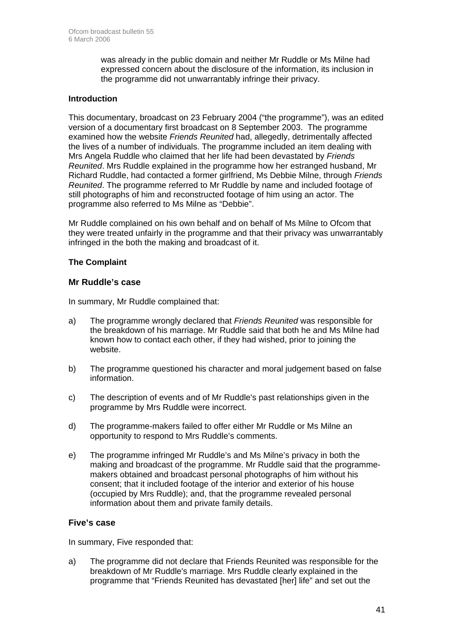was already in the public domain and neither Mr Ruddle or Ms Milne had expressed concern about the disclosure of the information, its inclusion in the programme did not unwarrantably infringe their privacy.

#### **Introduction**

This documentary, broadcast on 23 February 2004 ("the programme"), was an edited version of a documentary first broadcast on 8 September 2003. The programme examined how the website *Friends Reunited* had, allegedly, detrimentally affected the lives of a number of individuals. The programme included an item dealing with Mrs Angela Ruddle who claimed that her life had been devastated by *Friends Reunited*. Mrs Ruddle explained in the programme how her estranged husband, Mr Richard Ruddle, had contacted a former girlfriend, Ms Debbie Milne, through *Friends Reunited*. The programme referred to Mr Ruddle by name and included footage of still photographs of him and reconstructed footage of him using an actor. The programme also referred to Ms Milne as "Debbie".

Mr Ruddle complained on his own behalf and on behalf of Ms Milne to Ofcom that they were treated unfairly in the programme and that their privacy was unwarrantably infringed in the both the making and broadcast of it.

#### **The Complaint**

#### **Mr Ruddle's case**

In summary, Mr Ruddle complained that:

- a) The programme wrongly declared that *Friends Reunited* was responsible for the breakdown of his marriage. Mr Ruddle said that both he and Ms Milne had known how to contact each other, if they had wished, prior to joining the website.
- b) The programme questioned his character and moral judgement based on false information.
- c) The description of events and of Mr Ruddle's past relationships given in the programme by Mrs Ruddle were incorrect.
- d) The programme-makers failed to offer either Mr Ruddle or Ms Milne an opportunity to respond to Mrs Ruddle's comments.
- e) The programme infringed Mr Ruddle's and Ms Milne's privacy in both the making and broadcast of the programme. Mr Ruddle said that the programmemakers obtained and broadcast personal photographs of him without his consent; that it included footage of the interior and exterior of his house (occupied by Mrs Ruddle); and, that the programme revealed personal information about them and private family details.

#### **Five's case**

In summary, Five responded that:

a) The programme did not declare that Friends Reunited was responsible for the breakdown of Mr Ruddle's marriage. Mrs Ruddle clearly explained in the programme that "Friends Reunited has devastated [her] life" and set out the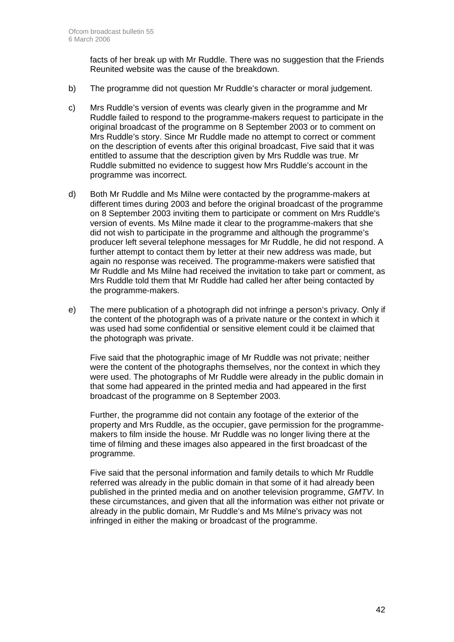facts of her break up with Mr Ruddle. There was no suggestion that the Friends Reunited website was the cause of the breakdown.

- b) The programme did not question Mr Ruddle's character or moral judgement.
- c) Mrs Ruddle's version of events was clearly given in the programme and Mr Ruddle failed to respond to the programme-makers request to participate in the original broadcast of the programme on 8 September 2003 or to comment on Mrs Ruddle's story. Since Mr Ruddle made no attempt to correct or comment on the description of events after this original broadcast, Five said that it was entitled to assume that the description given by Mrs Ruddle was true. Mr Ruddle submitted no evidence to suggest how Mrs Ruddle's account in the programme was incorrect.
- d) Both Mr Ruddle and Ms Milne were contacted by the programme-makers at different times during 2003 and before the original broadcast of the programme on 8 September 2003 inviting them to participate or comment on Mrs Ruddle's version of events. Ms Milne made it clear to the programme-makers that she did not wish to participate in the programme and although the programme's producer left several telephone messages for Mr Ruddle, he did not respond. A further attempt to contact them by letter at their new address was made, but again no response was received. The programme-makers were satisfied that Mr Ruddle and Ms Milne had received the invitation to take part or comment, as Mrs Ruddle told them that Mr Ruddle had called her after being contacted by the programme-makers.
- e) The mere publication of a photograph did not infringe a person's privacy. Only if the content of the photograph was of a private nature or the context in which it was used had some confidential or sensitive element could it be claimed that the photograph was private.

 Five said that the photographic image of Mr Ruddle was not private; neither were the content of the photographs themselves, nor the context in which they were used. The photographs of Mr Ruddle were already in the public domain in that some had appeared in the printed media and had appeared in the first broadcast of the programme on 8 September 2003.

Further, the programme did not contain any footage of the exterior of the property and Mrs Ruddle, as the occupier, gave permission for the programmemakers to film inside the house. Mr Ruddle was no longer living there at the time of filming and these images also appeared in the first broadcast of the programme.

Five said that the personal information and family details to which Mr Ruddle referred was already in the public domain in that some of it had already been published in the printed media and on another television programme, *GMTV*. In these circumstances, and given that all the information was either not private or already in the public domain, Mr Ruddle's and Ms Milne's privacy was not infringed in either the making or broadcast of the programme.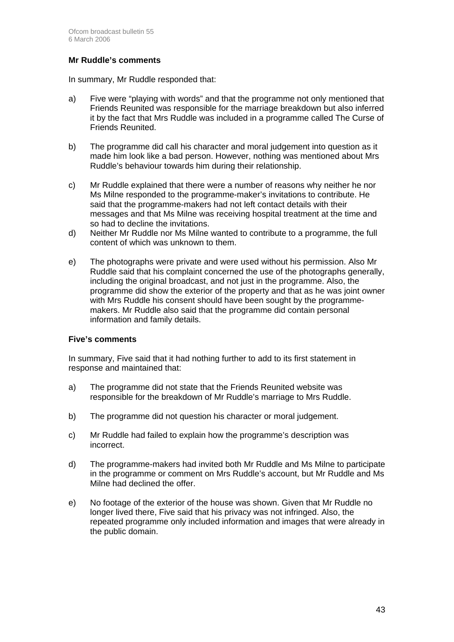#### **Mr Ruddle's comments**

In summary, Mr Ruddle responded that:

- a) Five were "playing with words" and that the programme not only mentioned that Friends Reunited was responsible for the marriage breakdown but also inferred it by the fact that Mrs Ruddle was included in a programme called The Curse of Friends Reunited.
- b) The programme did call his character and moral judgement into question as it made him look like a bad person. However, nothing was mentioned about Mrs Ruddle's behaviour towards him during their relationship.
- c) Mr Ruddle explained that there were a number of reasons why neither he nor Ms Milne responded to the programme-maker's invitations to contribute. He said that the programme-makers had not left contact details with their messages and that Ms Milne was receiving hospital treatment at the time and so had to decline the invitations.
- d) Neither Mr Ruddle nor Ms Milne wanted to contribute to a programme, the full content of which was unknown to them.
- e) The photographs were private and were used without his permission. Also Mr Ruddle said that his complaint concerned the use of the photographs generally, including the original broadcast, and not just in the programme. Also, the programme did show the exterior of the property and that as he was joint owner with Mrs Ruddle his consent should have been sought by the programmemakers. Mr Ruddle also said that the programme did contain personal information and family details.

#### **Five's comments**

In summary, Five said that it had nothing further to add to its first statement in response and maintained that:

- a) The programme did not state that the Friends Reunited website was responsible for the breakdown of Mr Ruddle's marriage to Mrs Ruddle.
- b) The programme did not question his character or moral judgement.
- c) Mr Ruddle had failed to explain how the programme's description was incorrect.
- d) The programme-makers had invited both Mr Ruddle and Ms Milne to participate in the programme or comment on Mrs Ruddle's account, but Mr Ruddle and Ms Milne had declined the offer.
- e) No footage of the exterior of the house was shown. Given that Mr Ruddle no longer lived there, Five said that his privacy was not infringed. Also, the repeated programme only included information and images that were already in the public domain.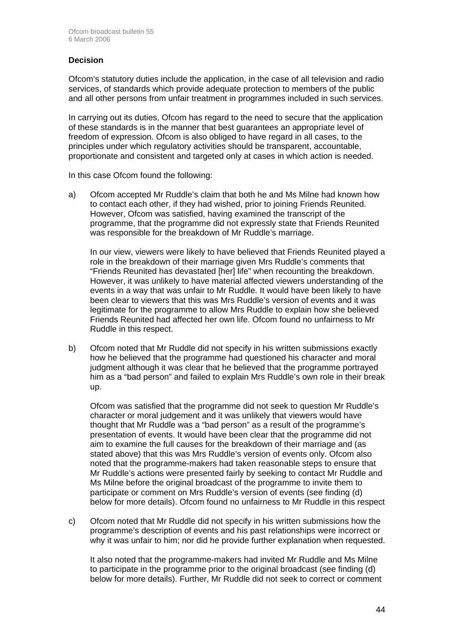#### **Decision**

Ofcom's statutory duties include the application, in the case of all television and radio services, of standards which provide adequate protection to members of the public and all other persons from unfair treatment in programmes included in such services.

In carrying out its duties, Ofcom has regard to the need to secure that the application of these standards is in the manner that best guarantees an appropriate level of freedom of expression. Ofcom is also obliged to have regard in all cases, to the principles under which regulatory activities should be transparent, accountable, proportionate and consistent and targeted only at cases in which action is needed.

In this case Ofcom found the following:

a) Ofcom accepted Mr Ruddle's claim that both he and Ms Milne had known how to contact each other, if they had wished, prior to joining Friends Reunited. However, Ofcom was satisfied, having examined the transcript of the programme, that the programme did not expressly state that Friends Reunited was responsible for the breakdown of Mr Ruddle's marriage.

 In our view, viewers were likely to have believed that Friends Reunited played a role in the breakdown of their marriage given Mrs Ruddle's comments that "Friends Reunited has devastated [her] life" when recounting the breakdown. However, it was unlikely to have material affected viewers understanding of the events in a way that was unfair to Mr Ruddle. It would have been likely to have been clear to viewers that this was Mrs Ruddle's version of events and it was legitimate for the programme to allow Mrs Ruddle to explain how she believed Friends Reunited had affected her own life. Ofcom found no unfairness to Mr Ruddle in this respect.

b) Ofcom noted that Mr Ruddle did not specify in his written submissions exactly how he believed that the programme had questioned his character and moral judgment although it was clear that he believed that the programme portrayed him as a "bad person" and failed to explain Mrs Ruddle's own role in their break up.

 Ofcom was satisfied that the programme did not seek to question Mr Ruddle's character or moral judgement and it was unlikely that viewers would have thought that Mr Ruddle was a "bad person" as a result of the programme's presentation of events. It would have been clear that the programme did not aim to examine the full causes for the breakdown of their marriage and (as stated above) that this was Mrs Ruddle's version of events only. Ofcom also noted that the programme-makers had taken reasonable steps to ensure that Mr Ruddle's actions were presented fairly by seeking to contact Mr Ruddle and Ms Milne before the original broadcast of the programme to invite them to participate or comment on Mrs Ruddle's version of events (see finding (d) below for more details). Ofcom found no unfairness to Mr Ruddle in this respect

c) Ofcom noted that Mr Ruddle did not specify in his written submissions how the programme's description of events and his past relationships were incorrect or why it was unfair to him; nor did he provide further explanation when requested.

 It also noted that the programme-makers had invited Mr Ruddle and Ms Milne to participate in the programme prior to the original broadcast (see finding (d) below for more details). Further, Mr Ruddle did not seek to correct or comment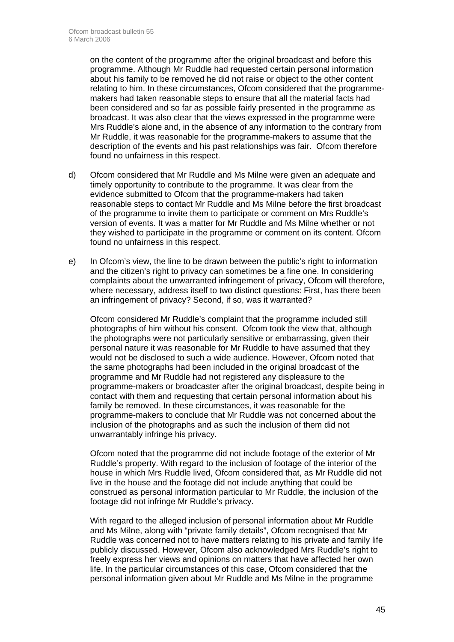on the content of the programme after the original broadcast and before this programme. Although Mr Ruddle had requested certain personal information about his family to be removed he did not raise or object to the other content relating to him. In these circumstances, Ofcom considered that the programmemakers had taken reasonable steps to ensure that all the material facts had been considered and so far as possible fairly presented in the programme as broadcast. It was also clear that the views expressed in the programme were Mrs Ruddle's alone and, in the absence of any information to the contrary from Mr Ruddle, it was reasonable for the programme-makers to assume that the description of the events and his past relationships was fair. Ofcom therefore found no unfairness in this respect.

- d) Ofcom considered that Mr Ruddle and Ms Milne were given an adequate and timely opportunity to contribute to the programme. It was clear from the evidence submitted to Ofcom that the programme-makers had taken reasonable steps to contact Mr Ruddle and Ms Milne before the first broadcast of the programme to invite them to participate or comment on Mrs Ruddle's version of events. It was a matter for Mr Ruddle and Ms Milne whether or not they wished to participate in the programme or comment on its content. Ofcom found no unfairness in this respect.
- e) In Ofcom's view, the line to be drawn between the public's right to information and the citizen's right to privacy can sometimes be a fine one. In considering complaints about the unwarranted infringement of privacy, Ofcom will therefore, where necessary, address itself to two distinct questions: First, has there been an infringement of privacy? Second, if so, was it warranted?

 Ofcom considered Mr Ruddle's complaint that the programme included still photographs of him without his consent. Ofcom took the view that, although the photographs were not particularly sensitive or embarrassing, given their personal nature it was reasonable for Mr Ruddle to have assumed that they would not be disclosed to such a wide audience. However, Ofcom noted that the same photographs had been included in the original broadcast of the programme and Mr Ruddle had not registered any displeasure to the programme-makers or broadcaster after the original broadcast, despite being in contact with them and requesting that certain personal information about his family be removed. In these circumstances, it was reasonable for the programme-makers to conclude that Mr Ruddle was not concerned about the inclusion of the photographs and as such the inclusion of them did not unwarrantably infringe his privacy.

 Ofcom noted that the programme did not include footage of the exterior of Mr Ruddle's property. With regard to the inclusion of footage of the interior of the house in which Mrs Ruddle lived, Ofcom considered that, as Mr Ruddle did not live in the house and the footage did not include anything that could be construed as personal information particular to Mr Ruddle, the inclusion of the footage did not infringe Mr Ruddle's privacy.

 With regard to the alleged inclusion of personal information about Mr Ruddle and Ms Milne, along with "private family details", Ofcom recognised that Mr Ruddle was concerned not to have matters relating to his private and family life publicly discussed. However, Ofcom also acknowledged Mrs Ruddle's right to freely express her views and opinions on matters that have affected her own life. In the particular circumstances of this case, Ofcom considered that the personal information given about Mr Ruddle and Ms Milne in the programme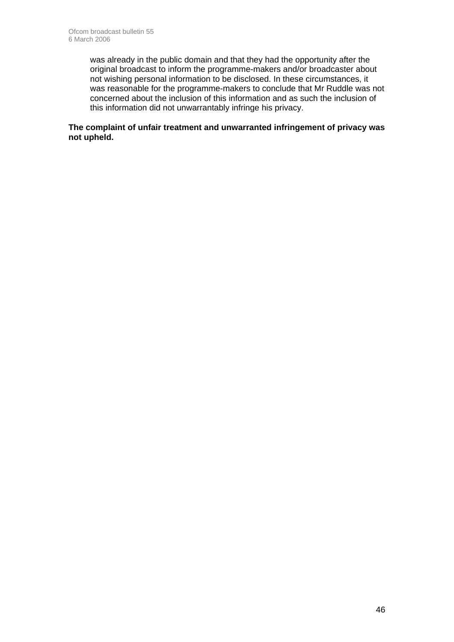was already in the public domain and that they had the opportunity after the original broadcast to inform the programme-makers and/or broadcaster about not wishing personal information to be disclosed. In these circumstances, it was reasonable for the programme-makers to conclude that Mr Ruddle was not concerned about the inclusion of this information and as such the inclusion of this information did not unwarrantably infringe his privacy.

#### **The complaint of unfair treatment and unwarranted infringement of privacy was not upheld.**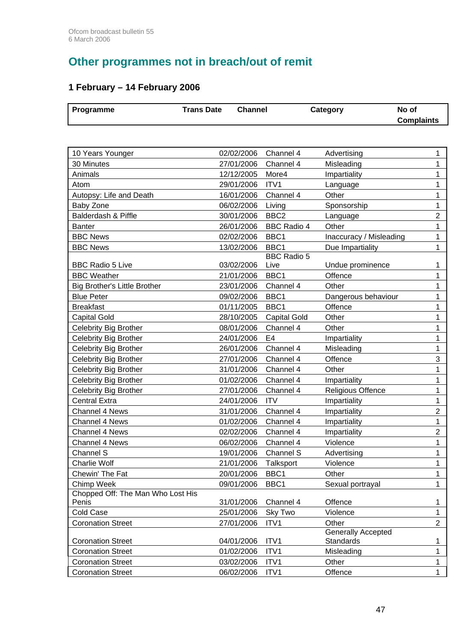# **Other programmes not in breach/out of remit**

### **1 February – 14 February 2006**

| Programme                                      | <b>Trans Date</b>        | <b>Channel</b>         | Category                  | No of<br><b>Complaints</b> |
|------------------------------------------------|--------------------------|------------------------|---------------------------|----------------------------|
|                                                |                          |                        |                           |                            |
| 10 Years Younger                               | 02/02/2006               | Channel 4              | Advertising               | 1                          |
| 30 Minutes                                     | 27/01/2006               | Channel 4              | Misleading                | 1                          |
| Animals                                        | 12/12/2005               | More4                  | Impartiality              | 1                          |
| Atom                                           | 29/01/2006               | ITV1                   | Language                  | 1                          |
| Autopsy: Life and Death                        | 16/01/2006               | Channel 4              | Other                     | 1                          |
| Baby Zone                                      | 06/02/2006               | Living                 | Sponsorship               | 1                          |
| Balderdash & Piffle                            | 30/01/2006               | BBC <sub>2</sub>       | Language                  | $\overline{2}$             |
| <b>Banter</b>                                  | 26/01/2006               | <b>BBC Radio 4</b>     | Other                     | 1                          |
| <b>BBC News</b>                                | 02/02/2006               | BBC1                   | Inaccuracy / Misleading   | 1                          |
| <b>BBC News</b>                                | 13/02/2006               | BBC1                   | Due Impartiality          | 1                          |
|                                                |                          | <b>BBC Radio 5</b>     |                           |                            |
| <b>BBC Radio 5 Live</b>                        | 03/02/2006               | Live                   | Undue prominence          | 1                          |
| <b>BBC Weather</b>                             | 21/01/2006               | BBC1                   | Offence                   | 1                          |
| Big Brother's Little Brother                   | 23/01/2006               | Channel 4              | Other                     | 1                          |
| <b>Blue Peter</b>                              | 09/02/2006               | BBC1                   | Dangerous behaviour       | 1                          |
| <b>Breakfast</b>                               | 01/11/2005               | BBC1                   | Offence                   | 1                          |
| <b>Capital Gold</b>                            | 28/10/2005               | <b>Capital Gold</b>    | Other                     | 1                          |
| <b>Celebrity Big Brother</b>                   | 08/01/2006               | Channel 4              | Other                     | 1                          |
| Celebrity Big Brother                          | 24/01/2006               | E <sub>4</sub>         | Impartiality              | 1                          |
| Celebrity Big Brother                          | 26/01/2006               | Channel 4              | Misleading                | 1                          |
| <b>Celebrity Big Brother</b>                   | 27/01/2006               | Channel 4              | Offence                   | 3                          |
| <b>Celebrity Big Brother</b>                   | 31/01/2006               | Channel 4              | Other                     | 1                          |
| Celebrity Big Brother                          | 01/02/2006               | Channel 4              | Impartiality              | 1                          |
| Celebrity Big Brother                          | 27/01/2006               | Channel 4              | Religious Offence         | 1                          |
| <b>Central Extra</b>                           | 24/01/2006               | <b>ITV</b>             | Impartiality              | 1                          |
| <b>Channel 4 News</b>                          | 31/01/2006               | Channel 4              | Impartiality              | $\overline{2}$             |
| <b>Channel 4 News</b><br><b>Channel 4 News</b> | 01/02/2006<br>02/02/2006 | Channel 4              | Impartiality              | 1<br>$\overline{c}$        |
|                                                |                          | Channel 4              | Impartiality              | 1                          |
| Channel 4 News                                 | 06/02/2006               | Channel 4              | Violence                  |                            |
| Channel S<br><b>Charlie Wolf</b>               | 19/01/2006<br>21/01/2006 | Channel S<br>Talksport | Advertising<br>Violence   | 1<br>1                     |
| Chewin' The Fat                                | 20/01/2006               | BBC1                   | Other                     | $\mathbf{1}$               |
| Chimp Week                                     | 09/01/2006               | BBC1                   | Sexual portrayal          | $\mathbf{1}$               |
| Chopped Off: The Man Who Lost His              |                          |                        |                           |                            |
| Penis                                          | 31/01/2006               | Channel 4              | Offence                   | 1                          |
| Cold Case                                      | 25/01/2006               | Sky Two                | Violence                  | $\mathbf{1}$               |
| <b>Coronation Street</b>                       | 27/01/2006               | ITV1                   | Other                     | $\overline{2}$             |
|                                                |                          |                        | <b>Generally Accepted</b> |                            |
| <b>Coronation Street</b>                       | 04/01/2006               | ITV1                   | Standards                 | 1                          |
| <b>Coronation Street</b>                       | 01/02/2006               | ITV1                   | Misleading                | $\mathbf{1}$               |
| <b>Coronation Street</b>                       | 03/02/2006               | ITV1                   | Other                     | 1                          |
| <b>Coronation Street</b>                       | 06/02/2006               | ITV1                   | Offence                   | $\mathbf{1}$               |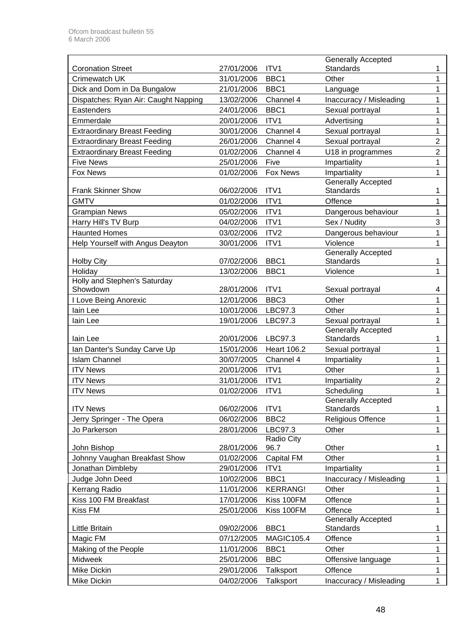|                                      |            |                       | <b>Generally Accepted</b> |                |
|--------------------------------------|------------|-----------------------|---------------------------|----------------|
| <b>Coronation Street</b>             | 27/01/2006 | ITV <sub>1</sub>      | <b>Standards</b>          | 1              |
| <b>Crimewatch UK</b>                 | 31/01/2006 | BBC1                  | Other                     | 1              |
| Dick and Dom in Da Bungalow          | 21/01/2006 | BBC1                  | Language                  | 1              |
| Dispatches: Ryan Air: Caught Napping | 13/02/2006 | Channel 4             | Inaccuracy / Misleading   | 1              |
| Eastenders                           | 24/01/2006 | BBC1                  | Sexual portrayal          | 1              |
| Emmerdale                            | 20/01/2006 | ITV1                  | Advertising               | 1              |
| <b>Extraordinary Breast Feeding</b>  | 30/01/2006 | Channel 4             | Sexual portrayal          | 1              |
| <b>Extraordinary Breast Feeding</b>  | 26/01/2006 | Channel 4             | Sexual portrayal          | $\overline{2}$ |
| <b>Extraordinary Breast Feeding</b>  | 01/02/2006 | Channel 4             | U18 in programmes         | $\overline{2}$ |
| <b>Five News</b>                     | 25/01/2006 | Five                  | Impartiality              | 1              |
| Fox News                             | 01/02/2006 | <b>Fox News</b>       | Impartiality              | 1              |
|                                      |            |                       | <b>Generally Accepted</b> |                |
| <b>Frank Skinner Show</b>            | 06/02/2006 | ITV1                  | <b>Standards</b>          | 1              |
| <b>GMTV</b>                          | 01/02/2006 | ITV1                  | Offence                   | 1              |
| <b>Grampian News</b>                 | 05/02/2006 | ITV1                  | Dangerous behaviour       | 1              |
| Harry Hill's TV Burp                 | 04/02/2006 | ITV1                  | Sex / Nudity              | 3              |
| <b>Haunted Homes</b>                 | 03/02/2006 | ITV2                  | Dangerous behaviour       | 1              |
| Help Yourself with Angus Deayton     | 30/01/2006 | ITV1                  | Violence                  | 1              |
|                                      |            |                       | <b>Generally Accepted</b> |                |
| <b>Holby City</b>                    | 07/02/2006 | BBC1                  | Standards                 | 1              |
| Holiday                              | 13/02/2006 | BBC1                  | Violence                  | 1              |
| Holly and Stephen's Saturday         |            |                       |                           |                |
| Showdown                             | 28/01/2006 | ITV1                  | Sexual portrayal          | 4              |
| I Love Being Anorexic                | 12/01/2006 | BBC <sub>3</sub>      | Other                     | 1              |
| lain Lee                             | 10/01/2006 | LBC97.3               | Other                     | 1              |
| lain Lee                             | 19/01/2006 | LBC97.3               | Sexual portrayal          | 1              |
|                                      |            |                       | <b>Generally Accepted</b> |                |
| lain Lee                             | 20/01/2006 | LBC97.3               | <b>Standards</b>          | 1              |
| Ian Danter's Sunday Carve Up         | 15/01/2006 | <b>Heart 106.2</b>    | Sexual portrayal          | 1              |
| <b>Islam Channel</b>                 | 30/07/2005 | Channel 4             | Impartiality              | 1              |
| <b>ITV News</b>                      | 20/01/2006 | ITV1                  | Other                     | 1              |
| <b>ITV News</b>                      | 31/01/2006 | ITV1                  | Impartiality              | $\overline{2}$ |
| <b>ITV News</b>                      | 01/02/2006 | ITV1                  | Scheduling                | 1              |
|                                      |            |                       | Generally Accepted        |                |
| <b>ITV News</b>                      | 06/02/2006 | ITV1                  | <b>Standards</b>          | 1              |
| Jerry Springer - The Opera           | 06/02/2006 | BBC <sub>2</sub>      | Religious Offence         | 1              |
| Jo Parkerson                         | 28/01/2006 | LBC97.3<br>Radio City | Other                     | 1              |
| John Bishop                          | 28/01/2006 | 96.7                  | Other                     | 1              |
| Johnny Vaughan Breakfast Show        | 01/02/2006 | Capital FM            | Other                     | 1              |
| Jonathan Dimbleby                    | 29/01/2006 | ITV1                  | Impartiality              | 1              |
| Judge John Deed                      | 10/02/2006 | BBC1                  | Inaccuracy / Misleading   | 1              |
| Kerrang Radio                        | 11/01/2006 | <b>KERRANG!</b>       | Other                     | 1              |
| Kiss 100 FM Breakfast                | 17/01/2006 | Kiss 100FM            | Offence                   | 1              |
| Kiss FM                              | 25/01/2006 | Kiss 100FM            | Offence                   | 1              |
|                                      |            |                       | <b>Generally Accepted</b> |                |
| Little Britain                       | 09/02/2006 | BBC1                  | Standards                 | 1              |
| Magic FM                             | 07/12/2005 | <b>MAGIC105.4</b>     | Offence                   | 1              |
| Making of the People                 | 11/01/2006 | BBC1                  | Other                     | 1              |
| Midweek                              | 25/01/2006 | <b>BBC</b>            | Offensive language        | 1              |
| Mike Dickin                          | 29/01/2006 | Talksport             | Offence                   | 1              |
| Mike Dickin                          |            |                       |                           |                |
|                                      | 04/02/2006 | Talksport             | Inaccuracy / Misleading   | 1              |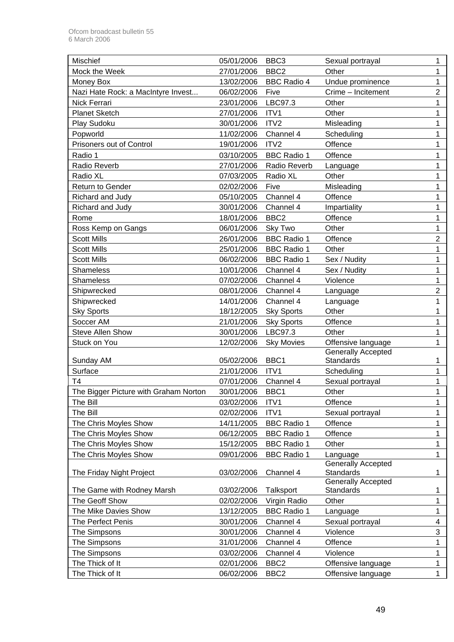| <b>Mischief</b>                       | 05/01/2006 | BBC <sub>3</sub>   | Sexual portrayal                       | 1              |
|---------------------------------------|------------|--------------------|----------------------------------------|----------------|
| Mock the Week                         | 27/01/2006 | BBC <sub>2</sub>   | Other                                  | 1              |
| Money Box                             | 13/02/2006 | <b>BBC Radio 4</b> | Undue prominence                       | 1              |
| Nazi Hate Rock: a MacIntyre Invest    | 06/02/2006 | Five               | Crime - Incitement                     | $\overline{2}$ |
| <b>Nick Ferrari</b>                   | 23/01/2006 | LBC97.3            | Other                                  | 1              |
| <b>Planet Sketch</b>                  | 27/01/2006 | ITV1               | Other                                  | 1              |
| Play Sudoku                           | 30/01/2006 | ITV2               | Misleading                             | 1              |
| Popworld                              | 11/02/2006 | Channel 4          | Scheduling                             | 1              |
| Prisoners out of Control              | 19/01/2006 | ITV2               | Offence                                | 1              |
| Radio 1                               | 03/10/2005 | <b>BBC Radio 1</b> | Offence                                | 1              |
| Radio Reverb                          | 27/01/2006 | Radio Reverb       | Language                               | 1              |
| Radio XL                              | 07/03/2005 | Radio XL           | Other                                  | 1              |
| <b>Return to Gender</b>               | 02/02/2006 | Five               | Misleading                             | 1              |
| Richard and Judy                      | 05/10/2005 | Channel 4          | Offence                                | 1              |
| Richard and Judy                      | 30/01/2006 | Channel 4          | Impartiality                           | 1              |
| Rome                                  | 18/01/2006 | BBC <sub>2</sub>   | Offence                                | 1              |
| Ross Kemp on Gangs                    | 06/01/2006 | Sky Two            | Other                                  | 1              |
| <b>Scott Mills</b>                    | 26/01/2006 | <b>BBC Radio 1</b> | Offence                                | $\overline{2}$ |
| <b>Scott Mills</b>                    | 25/01/2006 | <b>BBC Radio 1</b> | Other                                  | 1              |
| <b>Scott Mills</b>                    | 06/02/2006 | <b>BBC Radio 1</b> | Sex / Nudity                           | 1              |
| <b>Shameless</b>                      | 10/01/2006 | Channel 4          | Sex / Nudity                           | 1              |
| <b>Shameless</b>                      | 07/02/2006 | Channel 4          | Violence                               | 1              |
| Shipwrecked                           | 08/01/2006 | Channel 4          | Language                               | $\overline{2}$ |
| Shipwrecked                           | 14/01/2006 | Channel 4          | Language                               | 1              |
| <b>Sky Sports</b>                     | 18/12/2005 | <b>Sky Sports</b>  | Other                                  | 1              |
| Soccer AM                             | 21/01/2006 | <b>Sky Sports</b>  | Offence                                | 1              |
| <b>Steve Allen Show</b>               | 30/01/2006 | LBC97.3            | Other                                  | 1              |
| Stuck on You                          | 12/02/2006 | <b>Sky Movies</b>  | Offensive language                     | 1              |
|                                       |            |                    | <b>Generally Accepted</b>              |                |
| Sunday AM                             | 05/02/2006 | BBC1               | <b>Standards</b>                       | 1              |
| Surface                               | 21/01/2006 | ITV1               | Scheduling                             | 1              |
| T <sub>4</sub>                        | 07/01/2006 | Channel 4          | Sexual portrayal                       | 1              |
| The Bigger Picture with Graham Norton | 30/01/2006 | BBC1               | Other                                  | 1              |
| The Bill                              | 03/02/2006 | ITV1               | Offence                                | 1              |
| The Bill                              | 02/02/2006 | ITV1               | Sexual portrayal                       | 1              |
| The Chris Moyles Show                 | 14/11/2005 | <b>BBC Radio 1</b> | Offence                                | 1              |
| The Chris Moyles Show                 | 06/12/2005 | <b>BBC Radio 1</b> | Offence                                | 1              |
| The Chris Moyles Show                 | 15/12/2005 | <b>BBC Radio 1</b> | Other                                  | 1              |
| The Chris Moyles Show                 | 09/01/2006 | <b>BBC Radio 1</b> | Language                               | 1              |
|                                       |            |                    | <b>Generally Accepted</b>              |                |
| The Friday Night Project              | 03/02/2006 | Channel 4          | Standards<br><b>Generally Accepted</b> | 1              |
| The Game with Rodney Marsh            | 03/02/2006 | Talksport          | Standards                              | 1              |
| The Geoff Show                        | 02/02/2006 | Virgin Radio       | Other                                  | 1              |
| The Mike Davies Show                  | 13/12/2005 | <b>BBC Radio 1</b> | Language                               | 1              |
| The Perfect Penis                     | 30/01/2006 | Channel 4          | Sexual portrayal                       | 4              |
| The Simpsons                          | 30/01/2006 | Channel 4          | Violence                               | 3              |
| The Simpsons                          | 31/01/2006 | Channel 4          | Offence                                | 1              |
| The Simpsons                          | 03/02/2006 | Channel 4          | Violence                               | 1              |
| The Thick of It                       | 02/01/2006 | BBC <sub>2</sub>   | Offensive language                     | 1              |
| The Thick of It                       | 06/02/2006 | BBC <sub>2</sub>   | Offensive language                     | $\mathbf{1}$   |
|                                       |            |                    |                                        |                |